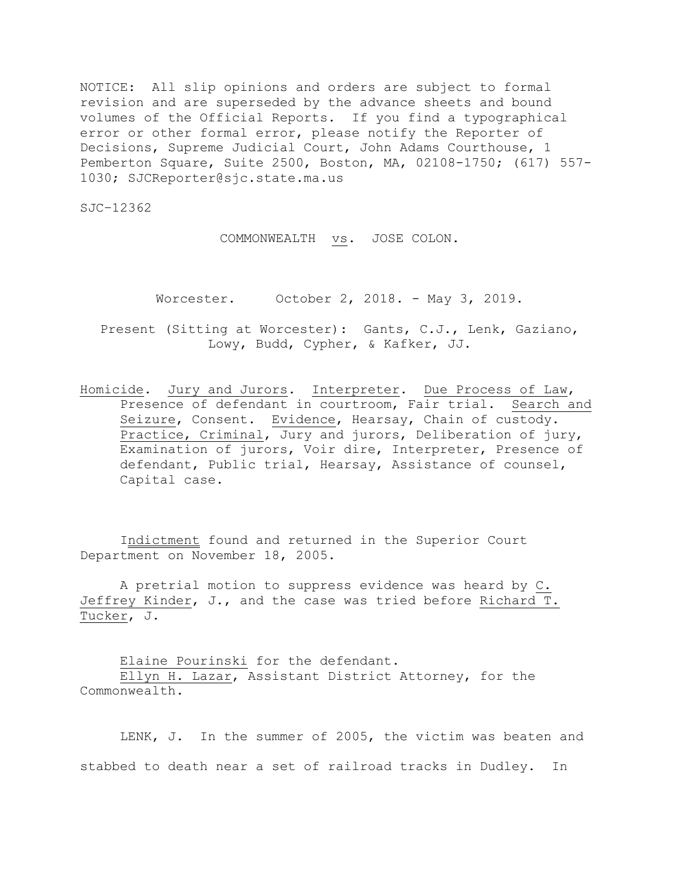NOTICE: All slip opinions and orders are subject to formal revision and are superseded by the advance sheets and bound volumes of the Official Reports. If you find a typographical error or other formal error, please notify the Reporter of Decisions, Supreme Judicial Court, John Adams Courthouse, 1 Pemberton Square, Suite 2500, Boston, MA, 02108-1750; (617) 557- 1030; SJCReporter@sjc.state.ma.us

SJC–12362

COMMONWEALTH vs. JOSE COLON.

Worcester. October 2, 2018. - May 3, 2019.

Present (Sitting at Worcester): Gants, C.J., Lenk, Gaziano, Lowy, Budd, Cypher, & Kafker, JJ.

Homicide. Jury and Jurors. Interpreter. Due Process of Law, Presence of defendant in courtroom, Fair trial. Search and Seizure, Consent. Evidence, Hearsay, Chain of custody. Practice, Criminal, Jury and jurors, Deliberation of jury, Examination of jurors, Voir dire, Interpreter, Presence of defendant, Public trial, Hearsay, Assistance of counsel, Capital case.

Indictment found and returned in the Superior Court Department on November 18, 2005.

A pretrial motion to suppress evidence was heard by C. Jeffrey Kinder, J., and the case was tried before Richard T. Tucker, J.

Elaine Pourinski for the defendant. Ellyn H. Lazar, Assistant District Attorney, for the Commonwealth.

LENK, J. In the summer of 2005, the victim was beaten and stabbed to death near a set of railroad tracks in Dudley. In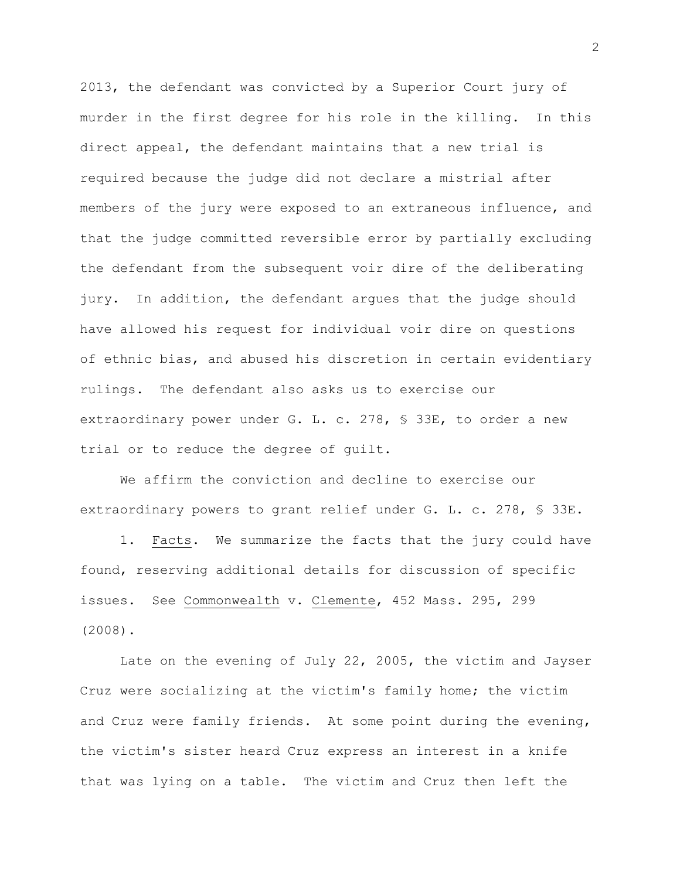2013, the defendant was convicted by a Superior Court jury of murder in the first degree for his role in the killing. In this direct appeal, the defendant maintains that a new trial is required because the judge did not declare a mistrial after members of the jury were exposed to an extraneous influence, and that the judge committed reversible error by partially excluding the defendant from the subsequent voir dire of the deliberating jury. In addition, the defendant argues that the judge should have allowed his request for individual voir dire on questions of ethnic bias, and abused his discretion in certain evidentiary rulings. The defendant also asks us to exercise our extraordinary power under G. L. c. 278, § 33E, to order a new trial or to reduce the degree of guilt.

We affirm the conviction and decline to exercise our extraordinary powers to grant relief under G. L. c. 278, § 33E.

1. Facts. We summarize the facts that the jury could have found, reserving additional details for discussion of specific issues. See Commonwealth v. Clemente, 452 Mass. 295, 299 (2008).

Late on the evening of July 22, 2005, the victim and Jayser Cruz were socializing at the victim's family home; the victim and Cruz were family friends. At some point during the evening, the victim's sister heard Cruz express an interest in a knife that was lying on a table. The victim and Cruz then left the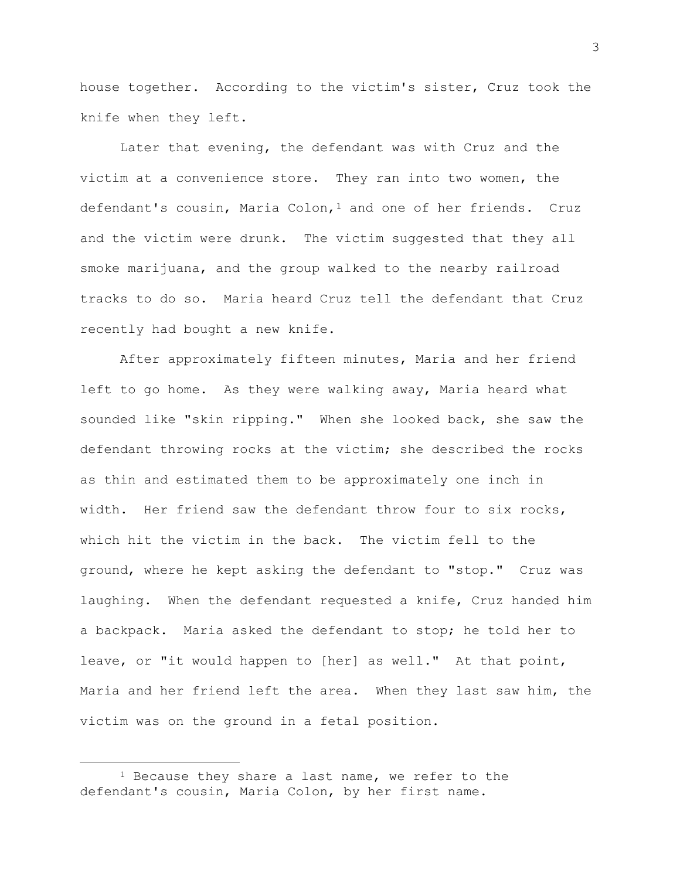house together. According to the victim's sister, Cruz took the knife when they left.

Later that evening, the defendant was with Cruz and the victim at a convenience store. They ran into two women, the defendant's cousin, Maria Colon,<sup>1</sup> and one of her friends. Cruz and the victim were drunk. The victim suggested that they all smoke marijuana, and the group walked to the nearby railroad tracks to do so. Maria heard Cruz tell the defendant that Cruz recently had bought a new knife.

After approximately fifteen minutes, Maria and her friend left to go home. As they were walking away, Maria heard what sounded like "skin ripping." When she looked back, she saw the defendant throwing rocks at the victim; she described the rocks as thin and estimated them to be approximately one inch in width. Her friend saw the defendant throw four to six rocks, which hit the victim in the back. The victim fell to the ground, where he kept asking the defendant to "stop." Cruz was laughing. When the defendant requested a knife, Cruz handed him a backpack. Maria asked the defendant to stop; he told her to leave, or "it would happen to [her] as well." At that point, Maria and her friend left the area. When they last saw him, the victim was on the ground in a fetal position.

 $1$  Because they share a last name, we refer to the defendant's cousin, Maria Colon, by her first name.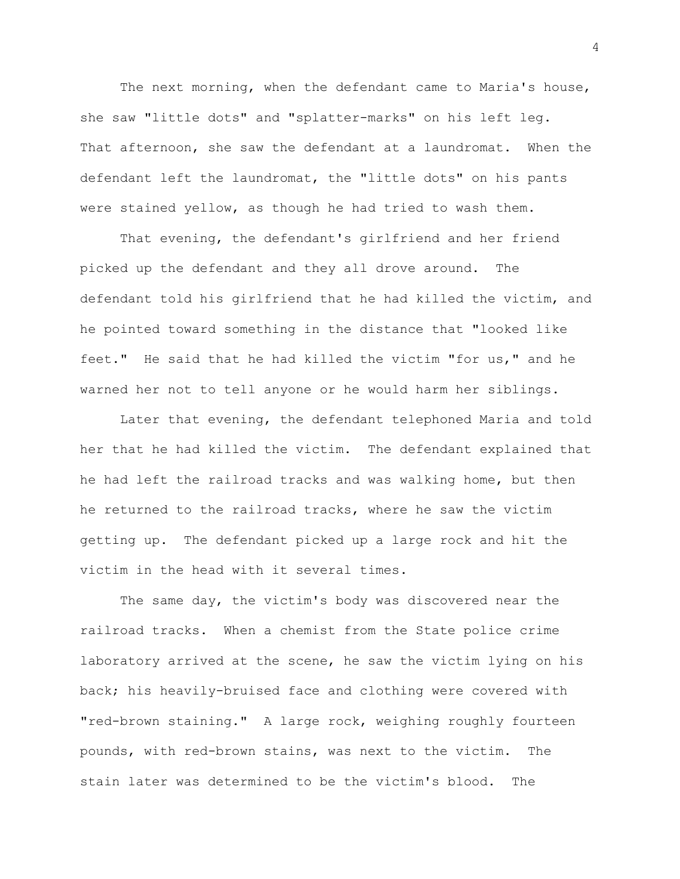The next morning, when the defendant came to Maria's house, she saw "little dots" and "splatter-marks" on his left leg. That afternoon, she saw the defendant at a laundromat. When the defendant left the laundromat, the "little dots" on his pants were stained yellow, as though he had tried to wash them.

That evening, the defendant's girlfriend and her friend picked up the defendant and they all drove around. The defendant told his girlfriend that he had killed the victim, and he pointed toward something in the distance that "looked like feet." He said that he had killed the victim "for us," and he warned her not to tell anyone or he would harm her siblings.

Later that evening, the defendant telephoned Maria and told her that he had killed the victim. The defendant explained that he had left the railroad tracks and was walking home, but then he returned to the railroad tracks, where he saw the victim getting up. The defendant picked up a large rock and hit the victim in the head with it several times.

The same day, the victim's body was discovered near the railroad tracks. When a chemist from the State police crime laboratory arrived at the scene, he saw the victim lying on his back; his heavily-bruised face and clothing were covered with "red-brown staining." A large rock, weighing roughly fourteen pounds, with red-brown stains, was next to the victim. The stain later was determined to be the victim's blood. The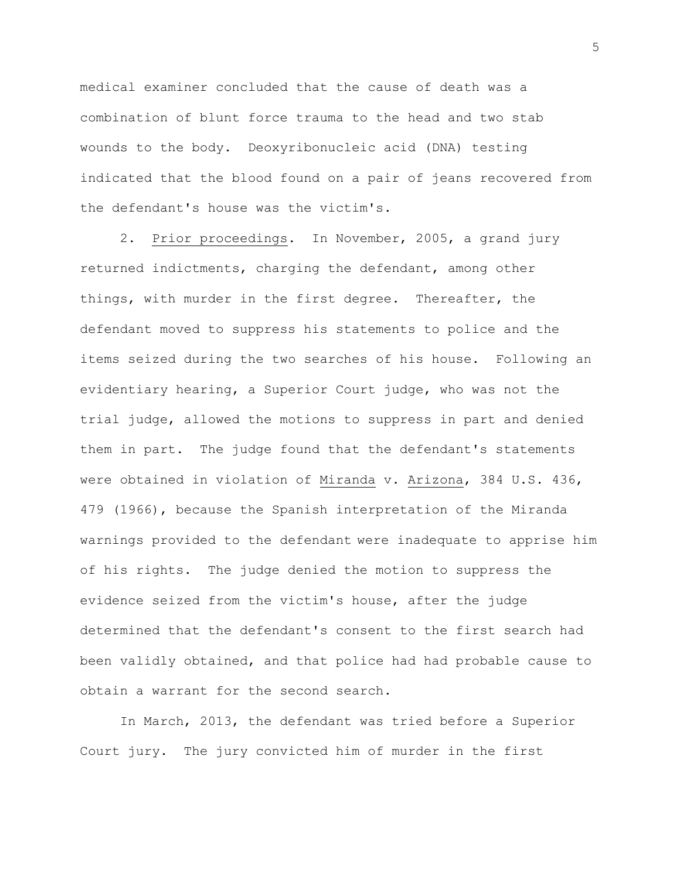medical examiner concluded that the cause of death was a combination of blunt force trauma to the head and two stab wounds to the body. Deoxyribonucleic acid (DNA) testing indicated that the blood found on a pair of jeans recovered from the defendant's house was the victim's.

2. Prior proceedings. In November, 2005, a grand jury returned indictments, charging the defendant, among other things, with murder in the first degree. Thereafter, the defendant moved to suppress his statements to police and the items seized during the two searches of his house. Following an evidentiary hearing, a Superior Court judge, who was not the trial judge, allowed the motions to suppress in part and denied them in part. The judge found that the defendant's statements were obtained in violation of Miranda v. Arizona, 384 U.S. 436, 479 (1966), because the Spanish interpretation of the Miranda warnings provided to the defendant were inadequate to apprise him of his rights. The judge denied the motion to suppress the evidence seized from the victim's house, after the judge determined that the defendant's consent to the first search had been validly obtained, and that police had had probable cause to obtain a warrant for the second search.

In March, 2013, the defendant was tried before a Superior Court jury. The jury convicted him of murder in the first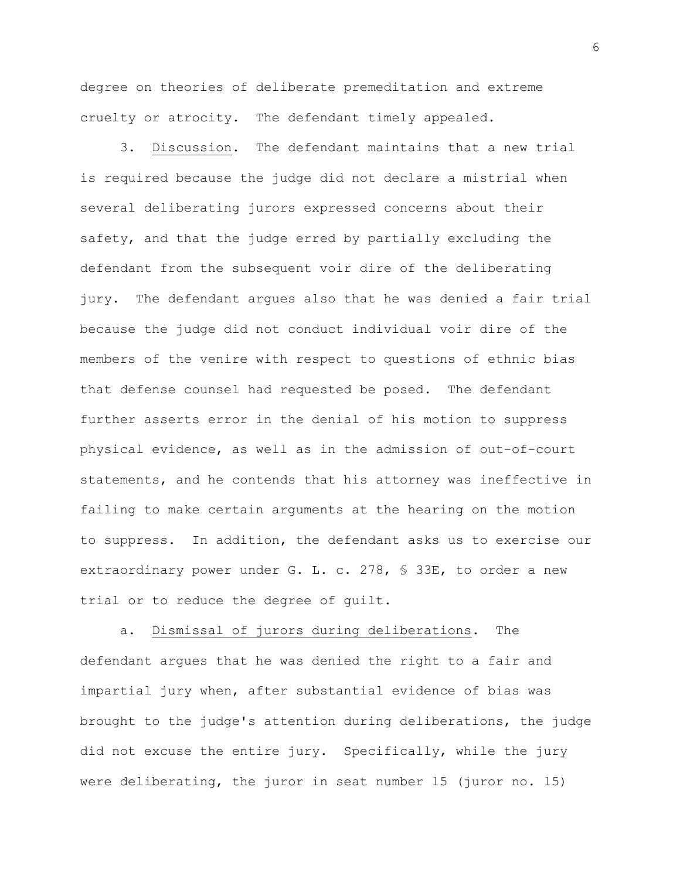degree on theories of deliberate premeditation and extreme cruelty or atrocity. The defendant timely appealed.

3. Discussion. The defendant maintains that a new trial is required because the judge did not declare a mistrial when several deliberating jurors expressed concerns about their safety, and that the judge erred by partially excluding the defendant from the subsequent voir dire of the deliberating jury. The defendant argues also that he was denied a fair trial because the judge did not conduct individual voir dire of the members of the venire with respect to questions of ethnic bias that defense counsel had requested be posed. The defendant further asserts error in the denial of his motion to suppress physical evidence, as well as in the admission of out-of-court statements, and he contends that his attorney was ineffective in failing to make certain arguments at the hearing on the motion to suppress. In addition, the defendant asks us to exercise our extraordinary power under G. L. c. 278, § 33E, to order a new trial or to reduce the degree of guilt.

a. Dismissal of jurors during deliberations. The defendant argues that he was denied the right to a fair and impartial jury when, after substantial evidence of bias was brought to the judge's attention during deliberations, the judge did not excuse the entire jury. Specifically, while the jury were deliberating, the juror in seat number 15 (juror no. 15)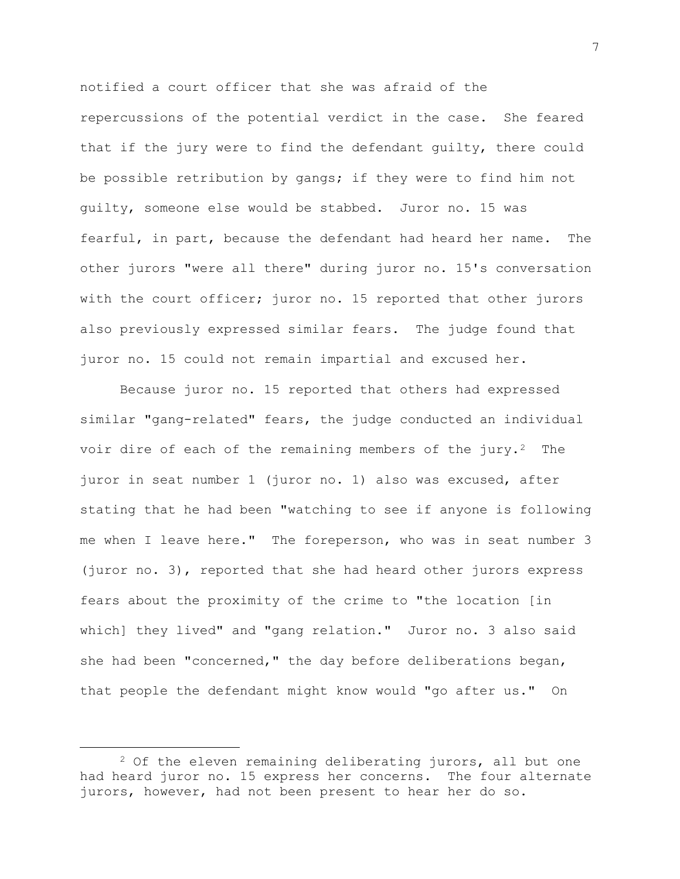notified a court officer that she was afraid of the repercussions of the potential verdict in the case. She feared that if the jury were to find the defendant guilty, there could be possible retribution by gangs; if they were to find him not guilty, someone else would be stabbed. Juror no. 15 was fearful, in part, because the defendant had heard her name. The other jurors "were all there" during juror no. 15's conversation with the court officer; juror no. 15 reported that other jurors also previously expressed similar fears. The judge found that juror no. 15 could not remain impartial and excused her.

Because juror no. 15 reported that others had expressed similar "gang-related" fears, the judge conducted an individual voir dire of each of the remaining members of the jury.<sup>2</sup> The juror in seat number 1 (juror no. 1) also was excused, after stating that he had been "watching to see if anyone is following me when I leave here." The foreperson, who was in seat number 3 (juror no. 3), reported that she had heard other jurors express fears about the proximity of the crime to "the location [in which] they lived" and "gang relation." Juror no. 3 also said she had been "concerned," the day before deliberations began, that people the defendant might know would "go after us." On

 $2$  Of the eleven remaining deliberating jurors, all but one had heard juror no. 15 express her concerns. The four alternate jurors, however, had not been present to hear her do so.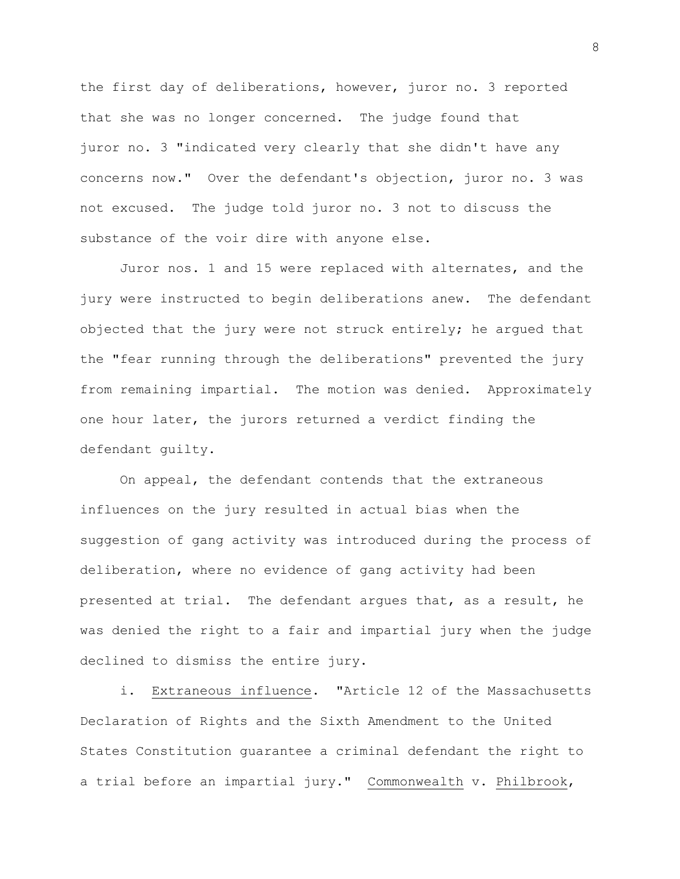the first day of deliberations, however, juror no. 3 reported that she was no longer concerned. The judge found that juror no. 3 "indicated very clearly that she didn't have any concerns now." Over the defendant's objection, juror no. 3 was not excused. The judge told juror no. 3 not to discuss the substance of the voir dire with anyone else.

Juror nos. 1 and 15 were replaced with alternates, and the jury were instructed to begin deliberations anew. The defendant objected that the jury were not struck entirely; he argued that the "fear running through the deliberations" prevented the jury from remaining impartial. The motion was denied. Approximately one hour later, the jurors returned a verdict finding the defendant guilty.

On appeal, the defendant contends that the extraneous influences on the jury resulted in actual bias when the suggestion of gang activity was introduced during the process of deliberation, where no evidence of gang activity had been presented at trial. The defendant argues that, as a result, he was denied the right to a fair and impartial jury when the judge declined to dismiss the entire jury.

i. Extraneous influence. "Article 12 of the Massachusetts Declaration of Rights and the Sixth Amendment to the United States Constitution guarantee a criminal defendant the right to a trial before an impartial jury." Commonwealth v. Philbrook,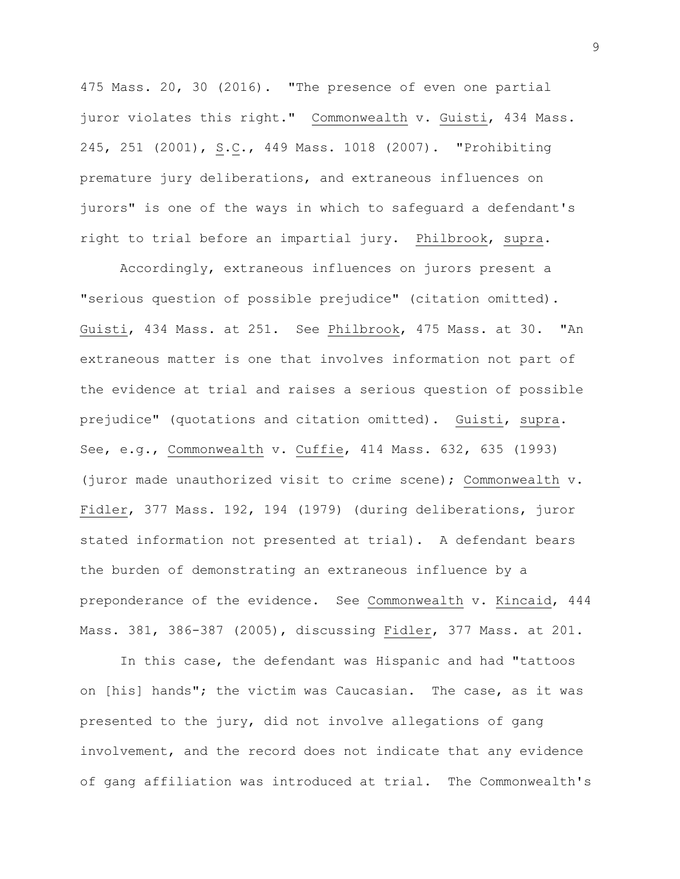475 Mass. 20, 30 (2016). "The presence of even one partial juror violates this right." Commonwealth v. Guisti, 434 Mass. 245, 251 (2001), S.C., 449 Mass. 1018 (2007). "Prohibiting premature jury deliberations, and extraneous influences on jurors" is one of the ways in which to safeguard a defendant's right to trial before an impartial jury. Philbrook, supra.

Accordingly, extraneous influences on jurors present a "serious question of possible prejudice" (citation omitted). Guisti, 434 Mass. at 251. See Philbrook, 475 Mass. at 30. "An extraneous matter is one that involves information not part of the evidence at trial and raises a serious question of possible prejudice" (quotations and citation omitted). Guisti, supra. See, e.g., Commonwealth v. Cuffie, 414 Mass. 632, 635 (1993) (juror made unauthorized visit to crime scene); Commonwealth v. Fidler, 377 Mass. 192, 194 (1979) (during deliberations, juror stated information not presented at trial). A defendant bears the burden of demonstrating an extraneous influence by a preponderance of the evidence. See Commonwealth v. Kincaid, 444 Mass. 381, 386-387 (2005), discussing Fidler, 377 Mass. at 201.

In this case, the defendant was Hispanic and had "tattoos on [his] hands"; the victim was Caucasian. The case, as it was presented to the jury, did not involve allegations of gang involvement, and the record does not indicate that any evidence of gang affiliation was introduced at trial. The Commonwealth's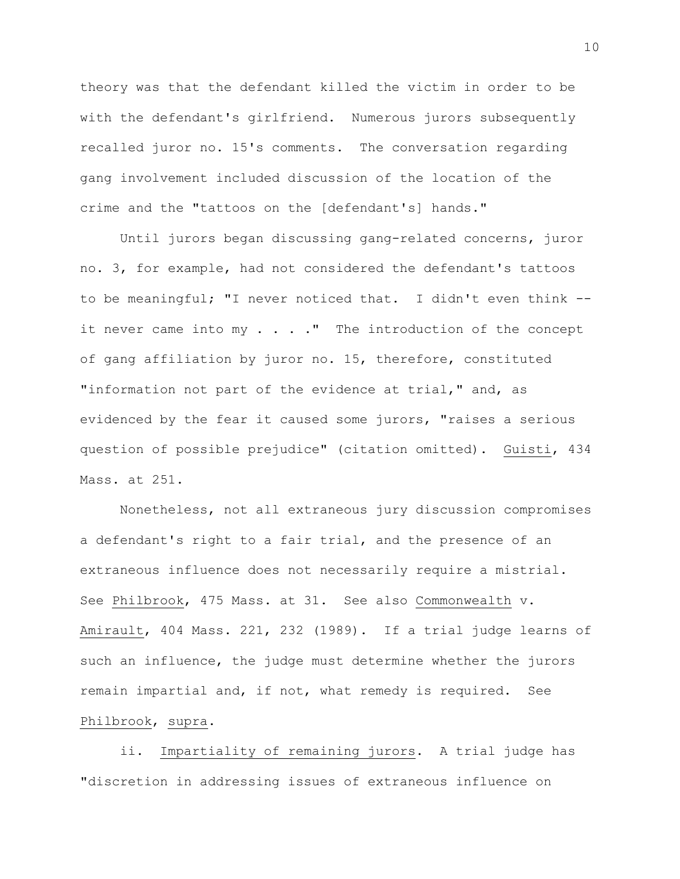theory was that the defendant killed the victim in order to be with the defendant's girlfriend. Numerous jurors subsequently recalled juror no. 15's comments. The conversation regarding gang involvement included discussion of the location of the crime and the "tattoos on the [defendant's] hands."

Until jurors began discussing gang-related concerns, juror no. 3, for example, had not considered the defendant's tattoos to be meaningful; "I never noticed that. I didn't even think - it never came into  $my \cdot \cdot \cdot \cdot$ ." The introduction of the concept of gang affiliation by juror no. 15, therefore, constituted "information not part of the evidence at trial," and, as evidenced by the fear it caused some jurors, "raises a serious question of possible prejudice" (citation omitted). Guisti, 434 Mass. at 251.

Nonetheless, not all extraneous jury discussion compromises a defendant's right to a fair trial, and the presence of an extraneous influence does not necessarily require a mistrial. See Philbrook, 475 Mass. at 31. See also Commonwealth v. Amirault, 404 Mass. 221, 232 (1989). If a trial judge learns of such an influence, the judge must determine whether the jurors remain impartial and, if not, what remedy is required. See Philbrook, supra.

ii. Impartiality of remaining jurors. A trial judge has "discretion in addressing issues of extraneous influence on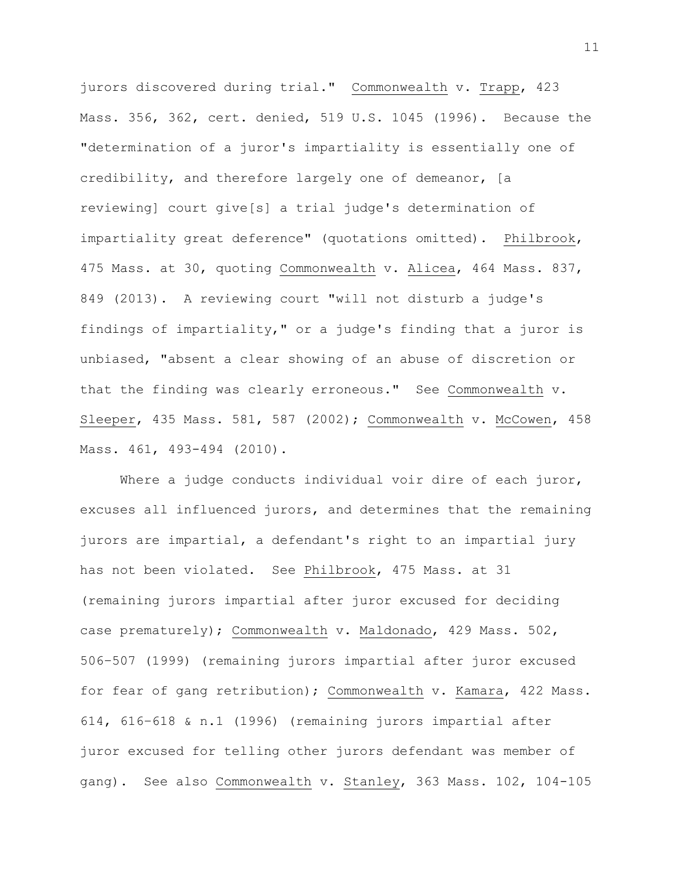jurors discovered during trial." Commonwealth v. Trapp, 423 Mass. 356, 362, cert. denied, 519 U.S. 1045 (1996). Because the "determination of a juror's impartiality is essentially one of credibility, and therefore largely one of demeanor, [a reviewing] court give[s] a trial judge's determination of impartiality great deference" (quotations omitted). Philbrook, 475 Mass. at 30, quoting Commonwealth v. Alicea, 464 Mass. 837, 849 (2013). A reviewing court "will not disturb a judge's findings of impartiality," or a judge's finding that a juror is unbiased, "absent a clear showing of an abuse of discretion or that the finding was clearly erroneous." See Commonwealth v. Sleeper, 435 Mass. 581, 587 (2002); Commonwealth v. McCowen, 458 Mass. 461, 493-494 (2010).

Where a judge conducts individual voir dire of each juror, excuses all influenced jurors, and determines that the remaining jurors are impartial, a defendant's right to an impartial jury has not been violated. See Philbrook, 475 Mass. at 31 (remaining jurors impartial after juror excused for deciding case prematurely); Commonwealth v. Maldonado, 429 Mass. 502, 506–507 (1999) (remaining jurors impartial after juror excused for fear of gang retribution); Commonwealth v. Kamara, 422 Mass. 614, 616–618 & n.1 (1996) (remaining jurors impartial after juror excused for telling other jurors defendant was member of gang). See also Commonwealth v. Stanley, 363 Mass. 102, 104-105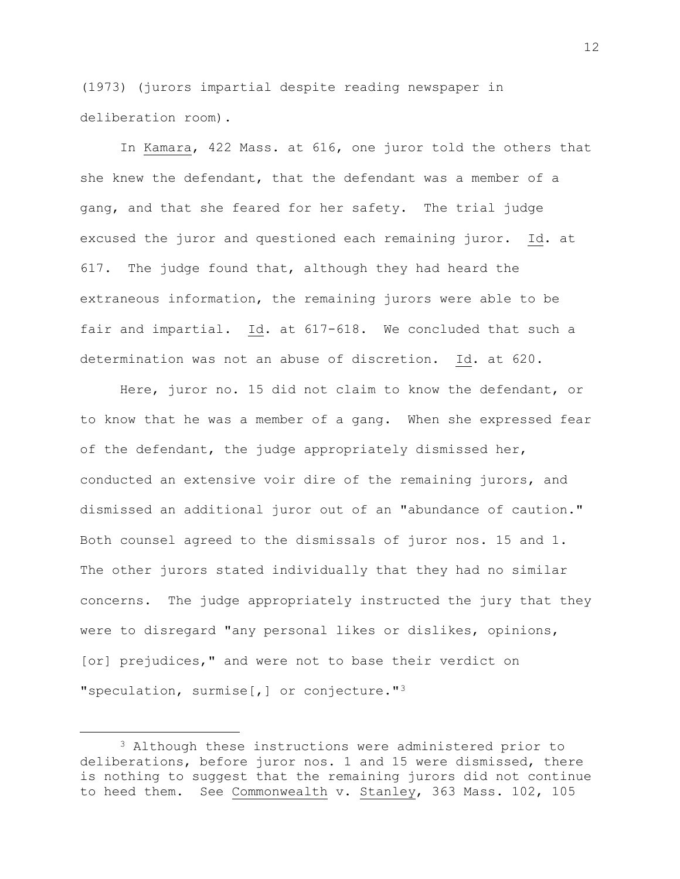(1973) (jurors impartial despite reading newspaper in deliberation room).

In Kamara, 422 Mass. at 616, one juror told the others that she knew the defendant, that the defendant was a member of a gang, and that she feared for her safety. The trial judge excused the juror and questioned each remaining juror. Id. at 617. The judge found that, although they had heard the extraneous information, the remaining jurors were able to be fair and impartial. Id. at 617-618. We concluded that such a determination was not an abuse of discretion. Id. at 620.

Here, juror no. 15 did not claim to know the defendant, or to know that he was a member of a gang. When she expressed fear of the defendant, the judge appropriately dismissed her, conducted an extensive voir dire of the remaining jurors, and dismissed an additional juror out of an "abundance of caution." Both counsel agreed to the dismissals of juror nos. 15 and 1. The other jurors stated individually that they had no similar concerns. The judge appropriately instructed the jury that they were to disregard "any personal likes or dislikes, opinions, [or] prejudices," and were not to base their verdict on "speculation, surmise[,] or conjecture."<sup>3</sup>

<sup>3</sup> Although these instructions were administered prior to deliberations, before juror nos. 1 and 15 were dismissed, there is nothing to suggest that the remaining jurors did not continue to heed them. See Commonwealth v. Stanley, 363 Mass. 102, 105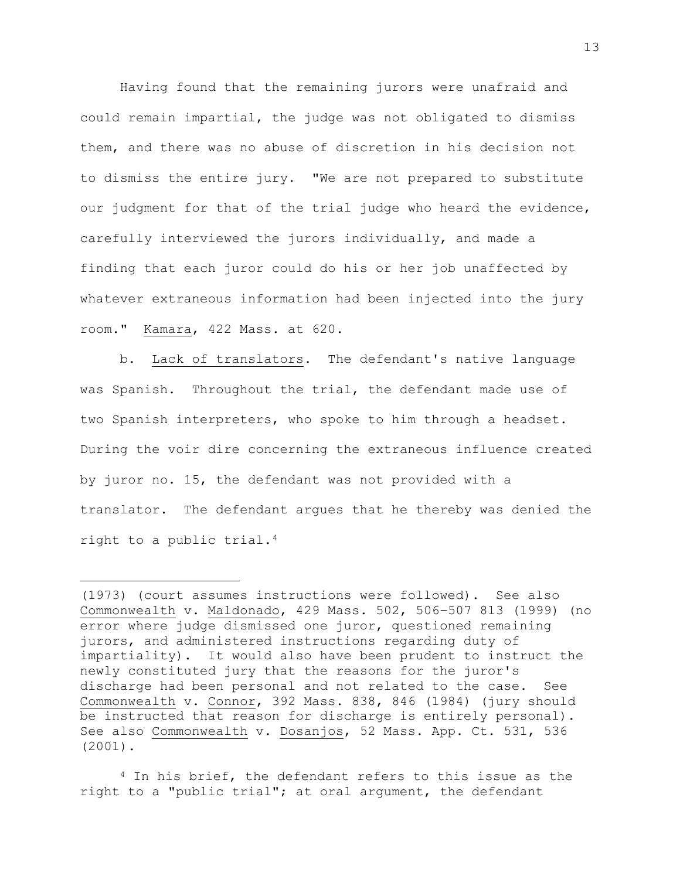Having found that the remaining jurors were unafraid and could remain impartial, the judge was not obligated to dismiss them, and there was no abuse of discretion in his decision not to dismiss the entire jury. "We are not prepared to substitute our judgment for that of the trial judge who heard the evidence, carefully interviewed the jurors individually, and made a finding that each juror could do his or her job unaffected by whatever extraneous information had been injected into the jury room." Kamara, 422 Mass. at 620.

b. Lack of translators. The defendant's native language was Spanish. Throughout the trial, the defendant made use of two Spanish interpreters, who spoke to him through a headset. During the voir dire concerning the extraneous influence created by juror no. 15, the defendant was not provided with a translator. The defendant argues that he thereby was denied the right to a public trial.*3F* 4

L,

<sup>(1973) (</sup>court assumes instructions were followed). See also Commonwealth v. Maldonado, 429 Mass. 502, 506–507 813 (1999) (no error where judge dismissed one juror, questioned remaining jurors, and administered instructions regarding duty of impartiality). It would also have been prudent to instruct the newly constituted jury that the reasons for the juror's discharge had been personal and not related to the case. See Commonwealth v. Connor, 392 Mass. 838, 846 (1984) (jury should be instructed that reason for discharge is entirely personal). See also Commonwealth v. Dosanjos, 52 Mass. App. Ct. 531, 536 (2001).

<sup>4</sup> In his brief, the defendant refers to this issue as the right to a "public trial"; at oral argument, the defendant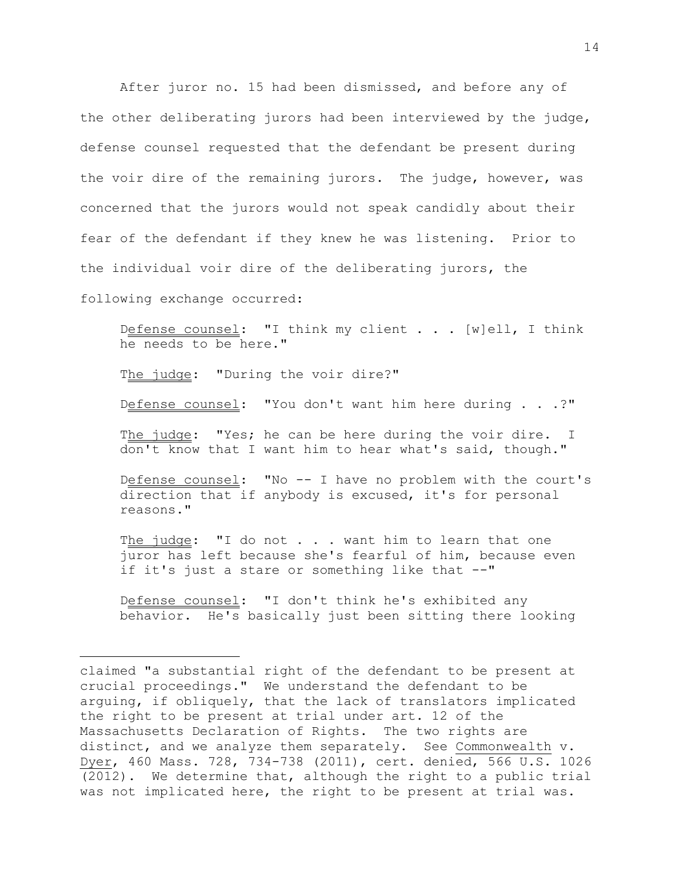After juror no. 15 had been dismissed, and before any of the other deliberating jurors had been interviewed by the judge, defense counsel requested that the defendant be present during the voir dire of the remaining jurors. The judge, however, was concerned that the jurors would not speak candidly about their fear of the defendant if they knew he was listening. Prior to the individual voir dire of the deliberating jurors, the

following exchange occurred:

a<br>B

Defense counsel: "I think my client . . . [w]ell, I think he needs to be here."

The judge: "During the voir dire?"

Defense counsel: "You don't want him here during . . .?"

The judge: "Yes; he can be here during the voir dire. I don't know that I want him to hear what's said, though."

Defense counsel: "No -- I have no problem with the court's direction that if anybody is excused, it's for personal reasons."

The  $judge:$  "I do not  $\ldots$  want him to learn that one juror has left because she's fearful of him, because even if it's just a stare or something like that --"

Defense counsel: "I don't think he's exhibited any behavior. He's basically just been sitting there looking

claimed "a substantial right of the defendant to be present at crucial proceedings." We understand the defendant to be arguing, if obliquely, that the lack of translators implicated the right to be present at trial under art. 12 of the Massachusetts Declaration of Rights. The two rights are distinct, and we analyze them separately. See Commonwealth v. Dyer, 460 Mass. 728, 734-738 (2011), cert. denied, 566 U.S. 1026 (2012). We determine that, although the right to a public trial was not implicated here, the right to be present at trial was.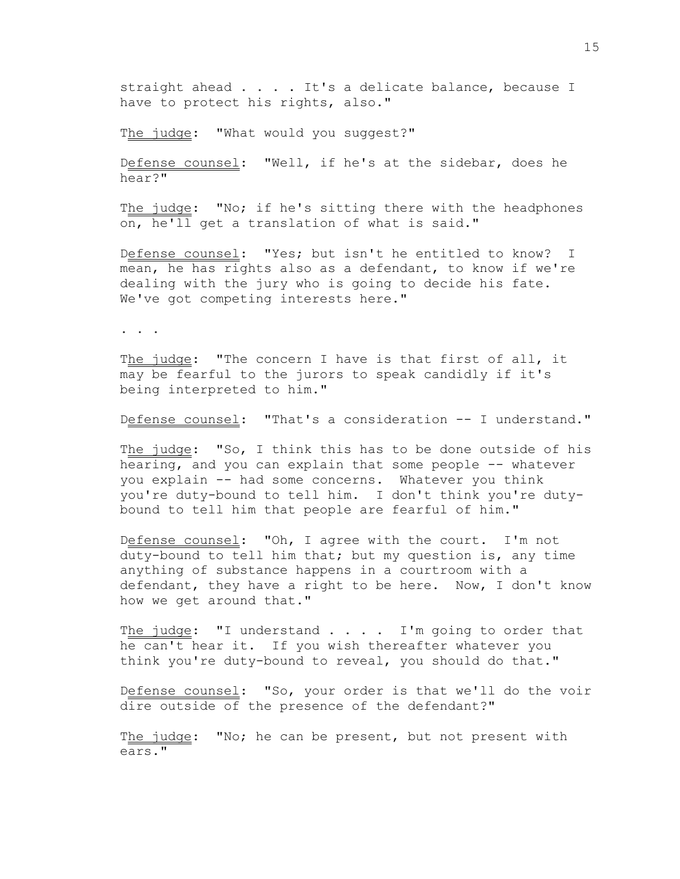straight ahead . . . . It's a delicate balance, because I have to protect his rights, also."

The judge: "What would you suggest?"

Defense counsel: "Well, if he's at the sidebar, does he hear?"

The judge: "No; if he's sitting there with the headphones on, he'll get a translation of what is said."

Defense counsel: "Yes; but isn't he entitled to know? I mean, he has rights also as a defendant, to know if we're dealing with the jury who is going to decide his fate. We've got competing interests here."

. . .

The judge: "The concern I have is that first of all, it may be fearful to the jurors to speak candidly if it's being interpreted to him."

Defense counsel: "That's a consideration -- I understand."

The judge: "So, I think this has to be done outside of his hearing, and you can explain that some people -- whatever you explain -- had some concerns. Whatever you think you're duty-bound to tell him. I don't think you're dutybound to tell him that people are fearful of him."

Defense counsel: "Oh, I agree with the court. I'm not duty-bound to tell him that; but my question is, any time anything of substance happens in a courtroom with a defendant, they have a right to be here. Now, I don't know how we get around that."

The judge: "I understand  $\ldots$  . . I'm going to order that he can't hear it. If you wish thereafter whatever you think you're duty-bound to reveal, you should do that."

Defense counsel: "So, your order is that we'll do the voir dire outside of the presence of the defendant?"

The judge: "No; he can be present, but not present with ears."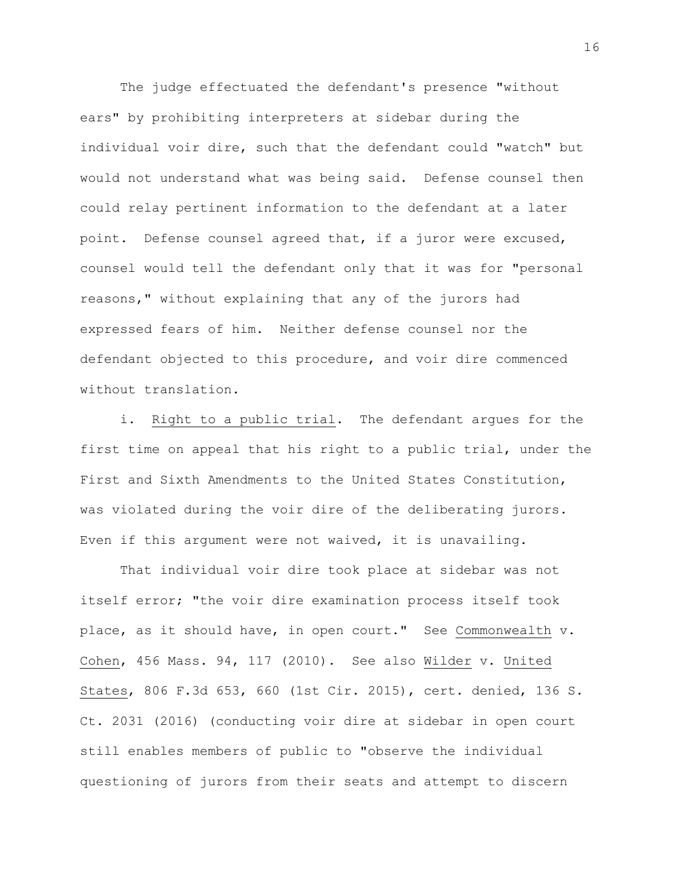The judge effectuated the defendant's presence "without ears" by prohibiting interpreters at sidebar during the individual voir dire, such that the defendant could "watch" but would not understand what was being said. Defense counsel then could relay pertinent information to the defendant at a later point. Defense counsel agreed that, if a juror were excused, counsel would tell the defendant only that it was for "personal reasons," without explaining that any of the jurors had expressed fears of him. Neither defense counsel nor the defendant objected to this procedure, and voir dire commenced without translation.

i. Right to a public trial. The defendant argues for the first time on appeal that his right to a public trial, under the First and Sixth Amendments to the United States Constitution, was violated during the voir dire of the deliberating jurors. Even if this argument were not waived, it is unavailing.

That individual voir dire took place at sidebar was not itself error; "the voir dire examination process itself took place, as it should have, in open court." See Commonwealth v. Cohen, 456 Mass. 94, 117 (2010). See also Wilder v. United States, 806 F.3d 653, 660 (1st Cir. 2015), cert. denied, 136 S. Ct. 2031 (2016) (conducting voir dire at sidebar in open court still enables members of public to "observe the individual questioning of jurors from their seats and attempt to discern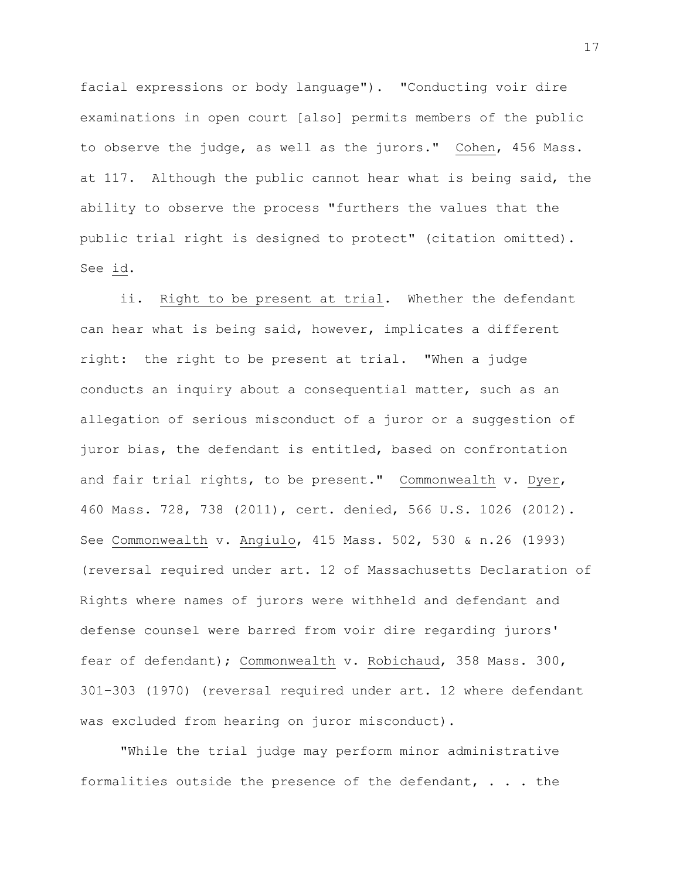facial expressions or body language"). "Conducting voir dire examinations in open court [also] permits members of the public to observe the judge, as well as the jurors." Cohen, 456 Mass. at 117. Although the public cannot hear what is being said, the ability to observe the process "furthers the values that the public trial right is designed to protect" (citation omitted). See id.

ii. Right to be present at trial. Whether the defendant can hear what is being said, however, implicates a different right: the right to be present at trial. "When a judge conducts an inquiry about a consequential matter, such as an allegation of serious misconduct of a juror or a suggestion of juror bias, the defendant is entitled, based on confrontation and fair trial rights, to be present." Commonwealth v. Dyer, 460 Mass. 728, 738 (2011), cert. denied, 566 U.S. 1026 (2012). See Commonwealth v. Angiulo, 415 Mass. 502, 530 & n.26 (1993) (reversal required under art. 12 of Massachusetts Declaration of Rights where names of jurors were withheld and defendant and defense counsel were barred from voir dire regarding jurors' fear of defendant); Commonwealth v. Robichaud, 358 Mass. 300, 301–303 (1970) (reversal required under art. 12 where defendant was excluded from hearing on juror misconduct).

"While the trial judge may perform minor administrative formalities outside the presence of the defendant, . . . the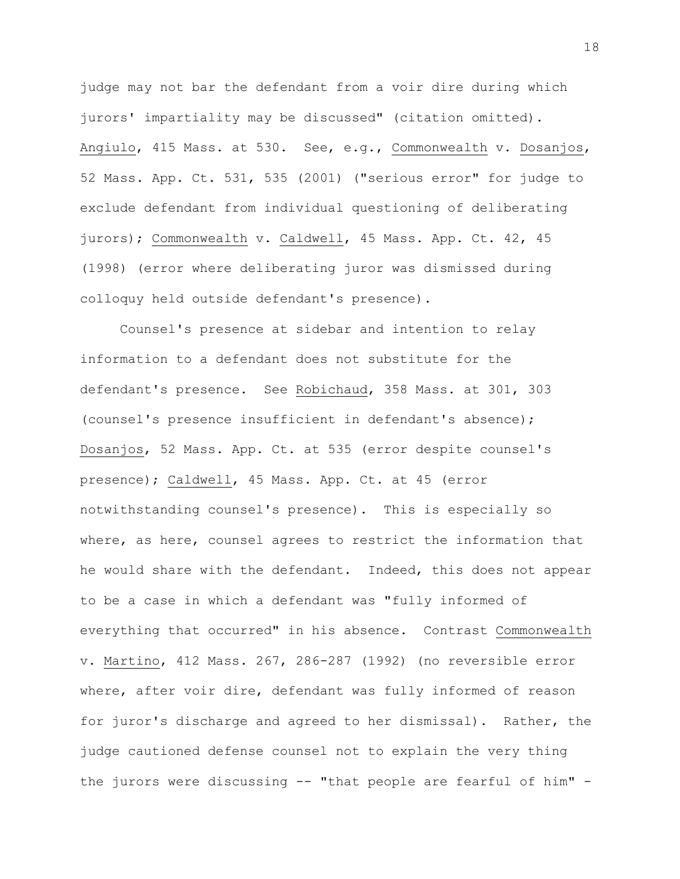judge may not bar the defendant from a voir dire during which jurors' impartiality may be discussed" (citation omitted). Angiulo, 415 Mass. at 530. See, e.g., Commonwealth v. Dosanjos, 52 Mass. App. Ct. 531, 535 (2001) ("serious error" for judge to exclude defendant from individual questioning of deliberating jurors); Commonwealth v. Caldwell, 45 Mass. App. Ct. 42, 45 (1998) (error where deliberating juror was dismissed during colloquy held outside defendant's presence).

Counsel's presence at sidebar and intention to relay information to a defendant does not substitute for the defendant's presence. See Robichaud, 358 Mass. at 301, 303 (counsel's presence insufficient in defendant's absence); Dosanjos, 52 Mass. App. Ct. at 535 (error despite counsel's presence); Caldwell, 45 Mass. App. Ct. at 45 (error notwithstanding counsel's presence). This is especially so where, as here, counsel agrees to restrict the information that he would share with the defendant. Indeed, this does not appear to be a case in which a defendant was "fully informed of everything that occurred" in his absence. Contrast Commonwealth v. Martino, 412 Mass. 267, 286-287 (1992) (no reversible error where, after voir dire, defendant was fully informed of reason for juror's discharge and agreed to her dismissal). Rather, the judge cautioned defense counsel not to explain the very thing the jurors were discussing -- "that people are fearful of him" -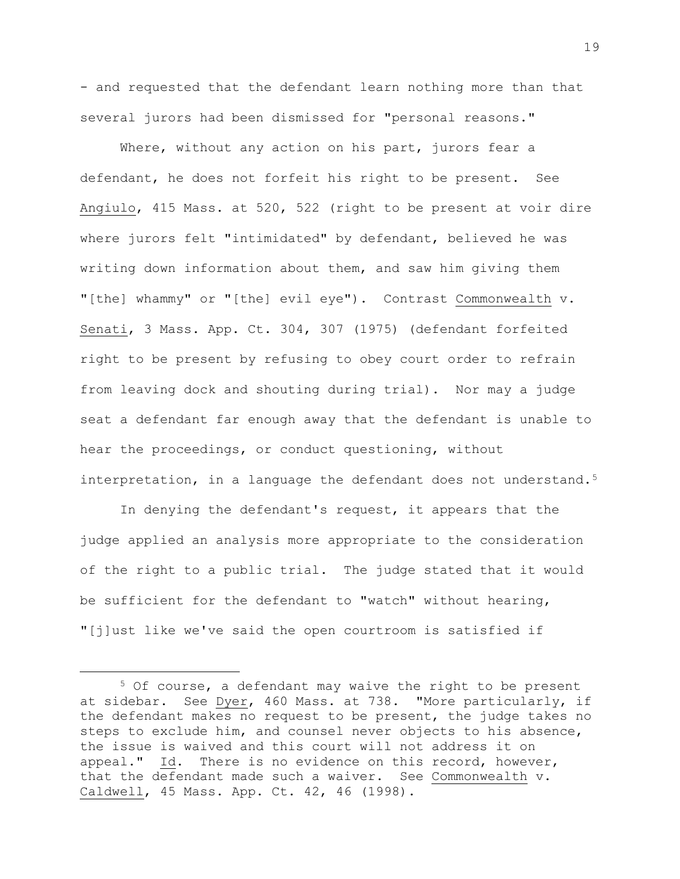- and requested that the defendant learn nothing more than that several jurors had been dismissed for "personal reasons."

Where, without any action on his part, jurors fear a defendant, he does not forfeit his right to be present. See Angiulo, 415 Mass. at 520, 522 (right to be present at voir dire where jurors felt "intimidated" by defendant, believed he was writing down information about them, and saw him giving them "[the] whammy" or "[the] evil eye"). Contrast Commonwealth v. Senati, 3 Mass. App. Ct. 304, 307 (1975) (defendant forfeited right to be present by refusing to obey court order to refrain from leaving dock and shouting during trial). Nor may a judge seat a defendant far enough away that the defendant is unable to hear the proceedings, or conduct questioning, without interpretation, in a language the defendant does not understand.<sup>5</sup>

In denying the defendant's request, it appears that the judge applied an analysis more appropriate to the consideration of the right to a public trial. The judge stated that it would be sufficient for the defendant to "watch" without hearing, "[j]ust like we've said the open courtroom is satisfied if

<sup>5</sup> Of course, a defendant may waive the right to be present at sidebar. See Dyer, 460 Mass. at 738. "More particularly, if the defendant makes no request to be present, the judge takes no steps to exclude him, and counsel never objects to his absence, the issue is waived and this court will not address it on appeal." Id. There is no evidence on this record, however, that the defendant made such a waiver. See Commonwealth v. Caldwell, 45 Mass. App. Ct. 42, 46 (1998).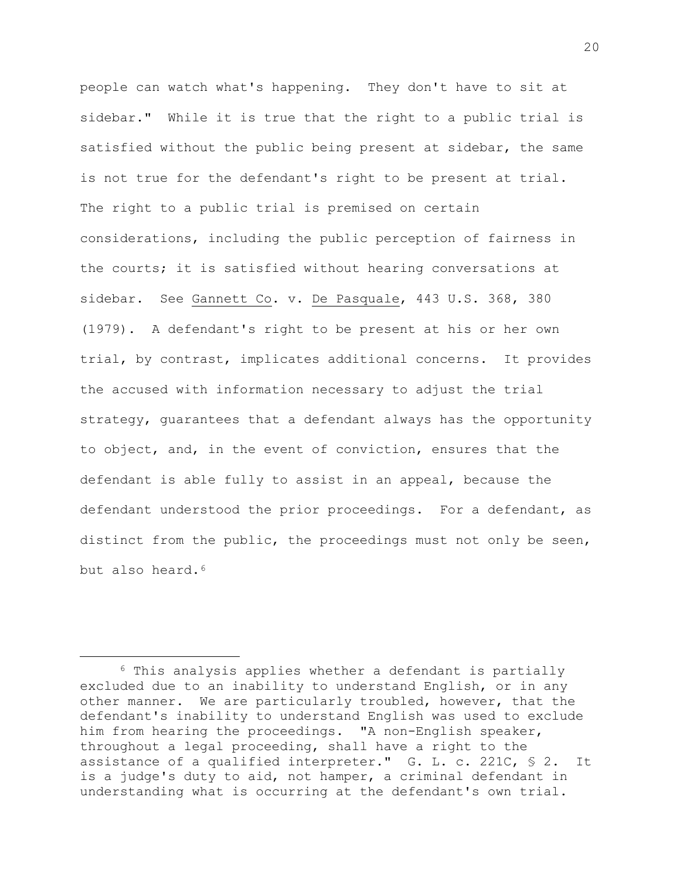people can watch what's happening. They don't have to sit at sidebar." While it is true that the right to a public trial is satisfied without the public being present at sidebar, the same is not true for the defendant's right to be present at trial. The right to a public trial is premised on certain considerations, including the public perception of fairness in the courts; it is satisfied without hearing conversations at sidebar. See Gannett Co. v. De Pasquale, 443 U.S. 368, 380 (1979). A defendant's right to be present at his or her own trial, by contrast, implicates additional concerns. It provides the accused with information necessary to adjust the trial strategy, guarantees that a defendant always has the opportunity to object, and, in the event of conviction, ensures that the defendant is able fully to assist in an appeal, because the defendant understood the prior proceedings. For a defendant, as distinct from the public, the proceedings must not only be seen, but also heard.*5F* 6

<sup>6</sup> This analysis applies whether a defendant is partially excluded due to an inability to understand English, or in any other manner. We are particularly troubled, however, that the defendant's inability to understand English was used to exclude him from hearing the proceedings. "A non-English speaker, throughout a legal proceeding, shall have a right to the assistance of a qualified interpreter." G. L. c. 221C, § 2. It is a judge's duty to aid, not hamper, a criminal defendant in understanding what is occurring at the defendant's own trial.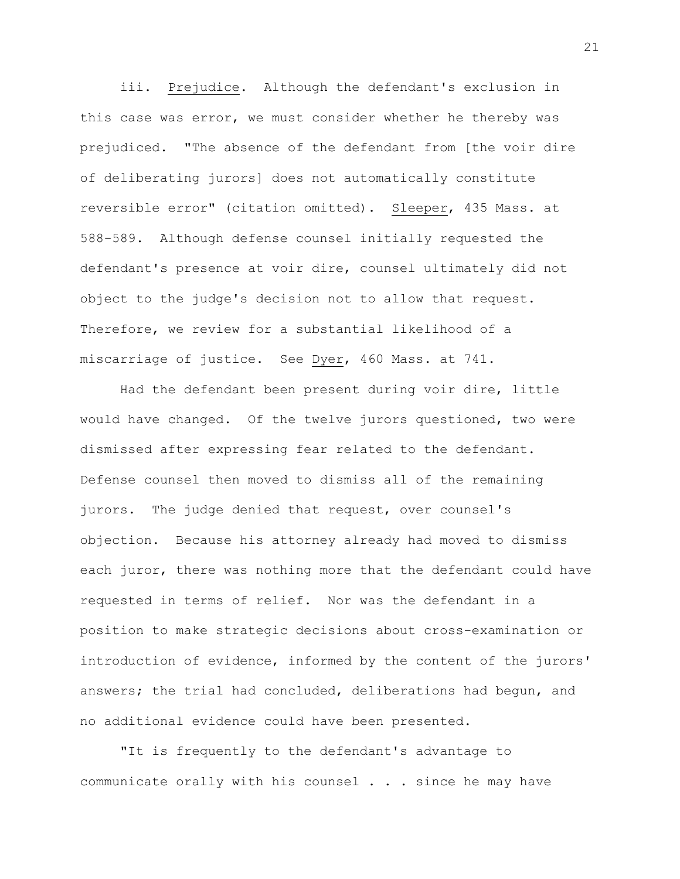iii. Prejudice. Although the defendant's exclusion in this case was error, we must consider whether he thereby was prejudiced. "The absence of the defendant from [the voir dire of deliberating jurors] does not automatically constitute reversible error" (citation omitted). Sleeper, 435 Mass. at 588-589. Although defense counsel initially requested the defendant's presence at voir dire, counsel ultimately did not object to the judge's decision not to allow that request. Therefore, we review for a substantial likelihood of a miscarriage of justice. See Dyer, 460 Mass. at 741.

Had the defendant been present during voir dire, little would have changed. Of the twelve jurors questioned, two were dismissed after expressing fear related to the defendant. Defense counsel then moved to dismiss all of the remaining jurors. The judge denied that request, over counsel's objection. Because his attorney already had moved to dismiss each juror, there was nothing more that the defendant could have requested in terms of relief. Nor was the defendant in a position to make strategic decisions about cross-examination or introduction of evidence, informed by the content of the jurors' answers; the trial had concluded, deliberations had begun, and no additional evidence could have been presented.

"It is frequently to the defendant's advantage to communicate orally with his counsel . . . since he may have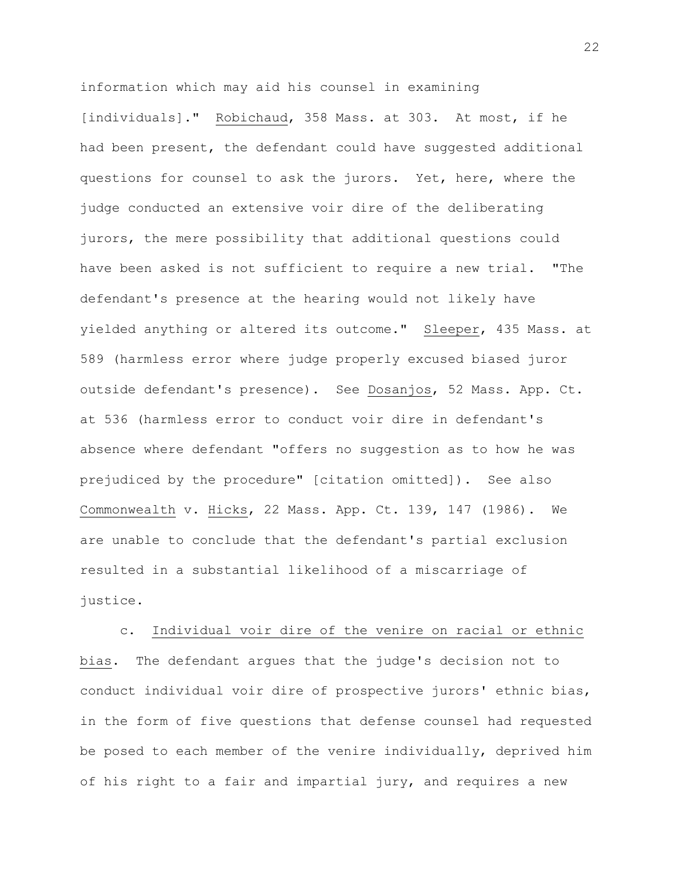information which may aid his counsel in examining [individuals]." Robichaud, 358 Mass. at 303. At most, if he had been present, the defendant could have suggested additional questions for counsel to ask the jurors. Yet, here, where the judge conducted an extensive voir dire of the deliberating jurors, the mere possibility that additional questions could have been asked is not sufficient to require a new trial. "The defendant's presence at the hearing would not likely have yielded anything or altered its outcome." Sleeper, 435 Mass. at 589 (harmless error where judge properly excused biased juror outside defendant's presence). See Dosanjos, 52 Mass. App. Ct. at 536 (harmless error to conduct voir dire in defendant's absence where defendant "offers no suggestion as to how he was prejudiced by the procedure" [citation omitted]). See also Commonwealth v. Hicks, 22 Mass. App. Ct. 139, 147 (1986). We are unable to conclude that the defendant's partial exclusion resulted in a substantial likelihood of a miscarriage of justice.

c. Individual voir dire of the venire on racial or ethnic bias. The defendant argues that the judge's decision not to conduct individual voir dire of prospective jurors' ethnic bias, in the form of five questions that defense counsel had requested be posed to each member of the venire individually, deprived him of his right to a fair and impartial jury, and requires a new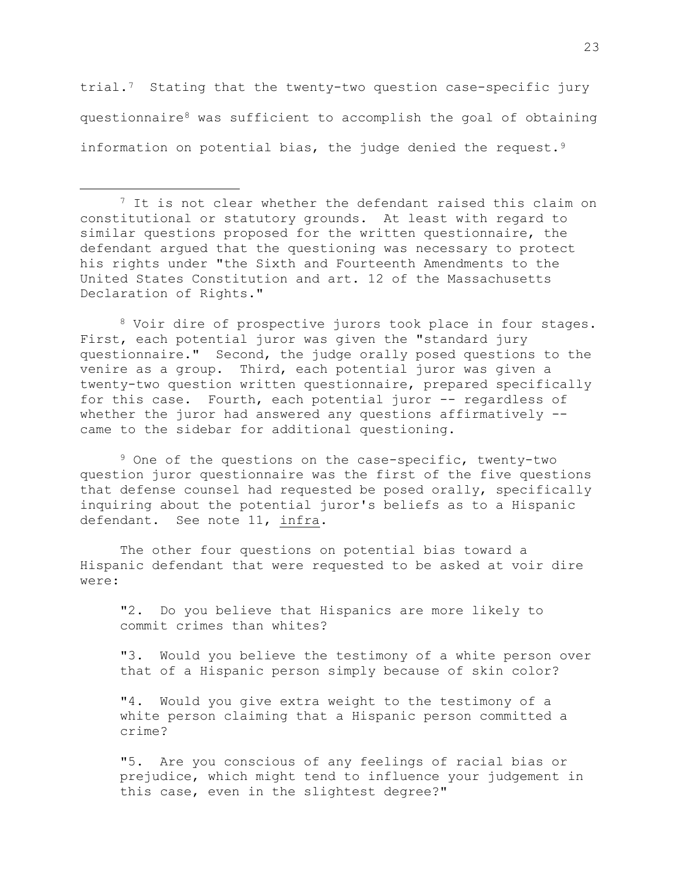trial.<sup>7</sup> Stating that the twenty-two question case-specific jury questionnaire<sup>8</sup> was sufficient to accomplish the goal of obtaining information on potential bias, the judge denied the request.<sup>9</sup>

a<br>B

8 Voir dire of prospective jurors took place in four stages. First, each potential juror was given the "standard jury questionnaire." Second, the judge orally posed questions to the venire as a group. Third, each potential juror was given a twenty-two question written questionnaire, prepared specifically for this case. Fourth, each potential juror -- regardless of whether the juror had answered any questions affirmatively -came to the sidebar for additional questioning.

<sup>9</sup> One of the questions on the case-specific, twenty-two question juror questionnaire was the first of the five questions that defense counsel had requested be posed orally, specifically inquiring about the potential juror's beliefs as to a Hispanic defendant. See note 11, infra.

The other four questions on potential bias toward a Hispanic defendant that were requested to be asked at voir dire were:

"2. Do you believe that Hispanics are more likely to commit crimes than whites?

"3. Would you believe the testimony of a white person over that of a Hispanic person simply because of skin color?

"4. Would you give extra weight to the testimony of a white person claiming that a Hispanic person committed a crime?

"5. Are you conscious of any feelings of racial bias or prejudice, which might tend to influence your judgement in this case, even in the slightest degree?"

<sup>&</sup>lt;sup>7</sup> It is not clear whether the defendant raised this claim on constitutional or statutory grounds. At least with regard to similar questions proposed for the written questionnaire, the defendant argued that the questioning was necessary to protect his rights under "the Sixth and Fourteenth Amendments to the United States Constitution and art. 12 of the Massachusetts Declaration of Rights."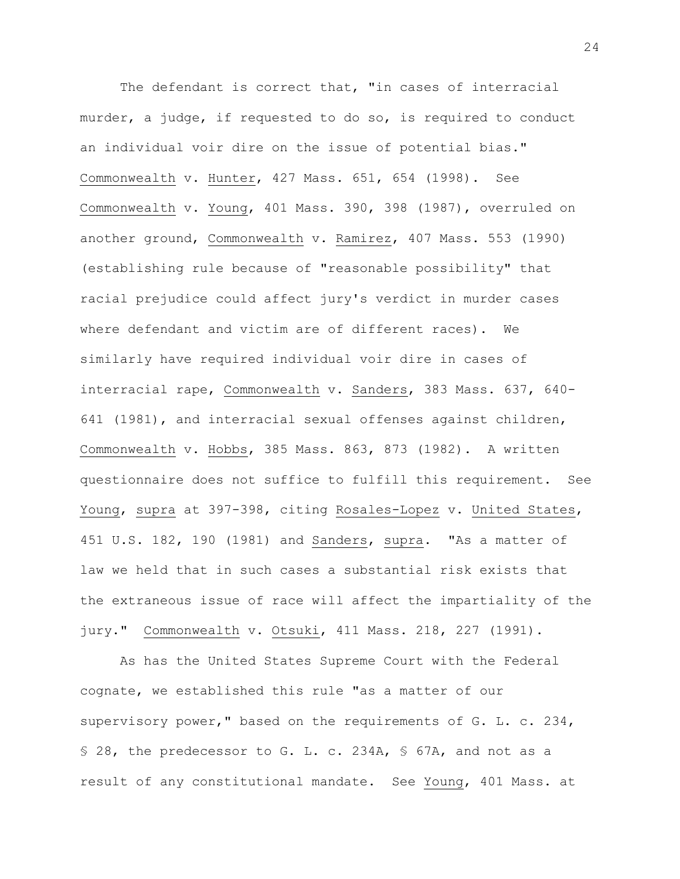The defendant is correct that, "in cases of interracial murder, a judge, if requested to do so, is required to conduct an individual voir dire on the issue of potential bias." Commonwealth v. Hunter, 427 Mass. 651, 654 (1998). See Commonwealth v. Young, 401 Mass. 390, 398 (1987), overruled on another ground, Commonwealth v. Ramirez, 407 Mass. 553 (1990) (establishing rule because of "reasonable possibility" that racial prejudice could affect jury's verdict in murder cases where defendant and victim are of different races). We similarly have required individual voir dire in cases of interracial rape, Commonwealth v. Sanders, 383 Mass. 637, 640- 641 (1981), and interracial sexual offenses against children, Commonwealth v. Hobbs, 385 Mass. 863, 873 (1982). A written questionnaire does not suffice to fulfill this requirement. See Young, supra at 397-398, citing Rosales-Lopez v. United States, 451 U.S. 182, 190 (1981) and Sanders, supra. "As a matter of law we held that in such cases a substantial risk exists that the extraneous issue of race will affect the impartiality of the jury." Commonwealth v. Otsuki, 411 Mass. 218, 227 (1991).

As has the United States Supreme Court with the Federal cognate, we established this rule "as a matter of our supervisory power," based on the requirements of G. L. c. 234, § 28, the predecessor to G. L. c. 234A, § 67A, and not as a result of any constitutional mandate. See Young, 401 Mass. at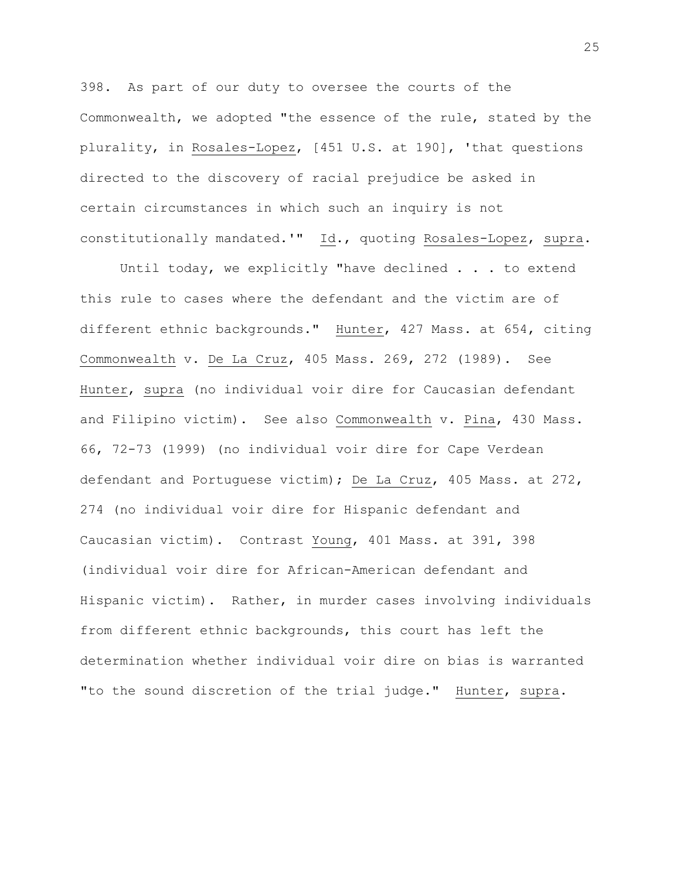398. As part of our duty to oversee the courts of the Commonwealth, we adopted "the essence of the rule, stated by the plurality, in Rosales-Lopez, [451 U.S. at 190], 'that questions directed to the discovery of racial prejudice be asked in certain circumstances in which such an inquiry is not constitutionally mandated.'" Id., quoting Rosales-Lopez, supra.

Until today, we explicitly "have declined . . . to extend this rule to cases where the defendant and the victim are of different ethnic backgrounds." Hunter, 427 Mass. at 654, citing Commonwealth v. De La Cruz, 405 Mass. 269, 272 (1989). See Hunter, supra (no individual voir dire for Caucasian defendant and Filipino victim). See also Commonwealth v. Pina, 430 Mass. 66, 72-73 (1999) (no individual voir dire for Cape Verdean defendant and Portuguese victim); De La Cruz, 405 Mass. at 272, 274 (no individual voir dire for Hispanic defendant and Caucasian victim). Contrast Young, 401 Mass. at 391, 398 (individual voir dire for African-American defendant and Hispanic victim). Rather, in murder cases involving individuals from different ethnic backgrounds, this court has left the determination whether individual voir dire on bias is warranted "to the sound discretion of the trial judge." Hunter, supra.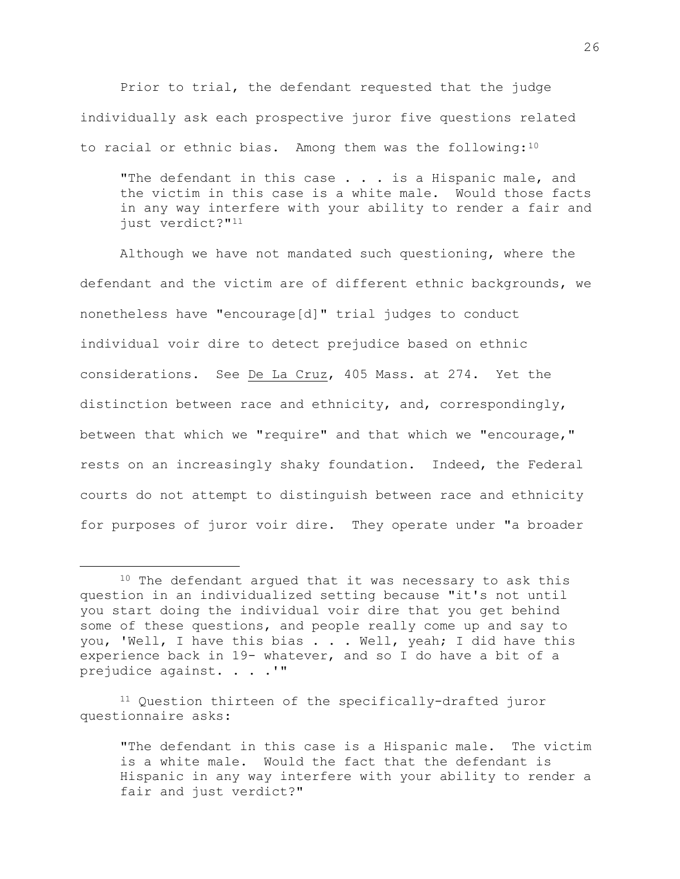Prior to trial, the defendant requested that the judge individually ask each prospective juror five questions related to racial or ethnic bias. Among them was the following:<sup>10</sup>

"The defendant in this case . . . is a Hispanic male, and the victim in this case is a white male. Would those facts in any way interfere with your ability to render a fair and just verdict?"<sup>11</sup>

Although we have not mandated such questioning, where the defendant and the victim are of different ethnic backgrounds, we nonetheless have "encourage[d]" trial judges to conduct individual voir dire to detect prejudice based on ethnic considerations. See De La Cruz, 405 Mass. at 274. Yet the distinction between race and ethnicity, and, correspondingly, between that which we "require" and that which we "encourage," rests on an increasingly shaky foundation. Indeed, the Federal courts do not attempt to distinguish between race and ethnicity for purposes of juror voir dire. They operate under "a broader

a<br>B

<sup>11</sup> Question thirteen of the specifically-drafted juror questionnaire asks:

<sup>&</sup>lt;sup>10</sup> The defendant arqued that it was necessary to ask this question in an individualized setting because "it's not until you start doing the individual voir dire that you get behind some of these questions, and people really come up and say to you, 'Well, I have this bias . . . Well, yeah; I did have this experience back in 19- whatever, and so I do have a bit of a prejudice against. . . .'"

<sup>&</sup>quot;The defendant in this case is a Hispanic male. The victim is a white male. Would the fact that the defendant is Hispanic in any way interfere with your ability to render a fair and just verdict?"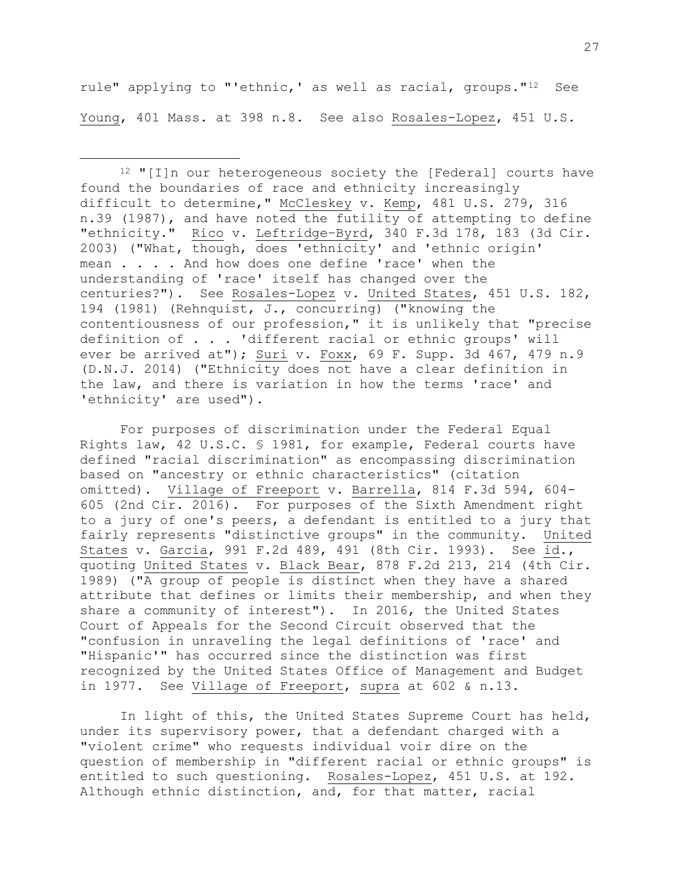rule" applying to "'ethnic,' as well as racial, groups."<sup>12</sup> See Young, 401 Mass. at 398 n.8. See also Rosales-Lopez, 451 U.S.

a<br>B

 $12$  "[I]n our heterogeneous society the [Federal] courts have found the boundaries of race and ethnicity increasingly difficult to determine," McCleskey v. Kemp, 481 U.S. 279, 316 n.39 (1987), and have noted the futility of attempting to define "ethnicity." Rico v. Leftridge–Byrd, 340 F.3d 178, 183 (3d Cir. 2003) ("What, though, does 'ethnicity' and 'ethnic origin' mean . . . . And how does one define 'race' when the understanding of 'race' itself has changed over the centuries?"). See Rosales-Lopez v. United States, 451 U.S. 182, 194 (1981) (Rehnquist, J., concurring) ("knowing the contentiousness of our profession," it is unlikely that "precise definition of . . . 'different racial or ethnic groups' will ever be arrived at"); Suri v. Foxx, 69 F. Supp. 3d 467, 479 n.9 (D.N.J. 2014) ("Ethnicity does not have a clear definition in the law, and there is variation in how the terms 'race' and 'ethnicity' are used").

For purposes of discrimination under the Federal Equal Rights law, 42 U.S.C. § 1981, for example, Federal courts have defined "racial discrimination" as encompassing discrimination based on "ancestry or ethnic characteristics" (citation omitted). Village of Freeport v. Barrella, 814 F.3d 594, 604- 605 (2nd Cir. 2016). For purposes of the Sixth Amendment right to a jury of one's peers, a defendant is entitled to a jury that fairly represents "distinctive groups" in the community. United States v. Garcia, 991 F.2d 489, 491 (8th Cir. 1993). See id., quoting United States v. Black Bear, 878 F.2d 213, 214 (4th Cir. 1989) ("A group of people is distinct when they have a shared attribute that defines or limits their membership, and when they share a community of interest"). In 2016, the United States Court of Appeals for the Second Circuit observed that the "confusion in unraveling the legal definitions of 'race' and "Hispanic'" has occurred since the distinction was first recognized by the United States Office of Management and Budget in 1977. See Village of Freeport, supra at 602 & n.13.

In light of this, the United States Supreme Court has held, under its supervisory power, that a defendant charged with a "violent crime" who requests individual voir dire on the question of membership in "different racial or ethnic groups" is entitled to such questioning. Rosales-Lopez, 451 U.S. at 192. Although ethnic distinction, and, for that matter, racial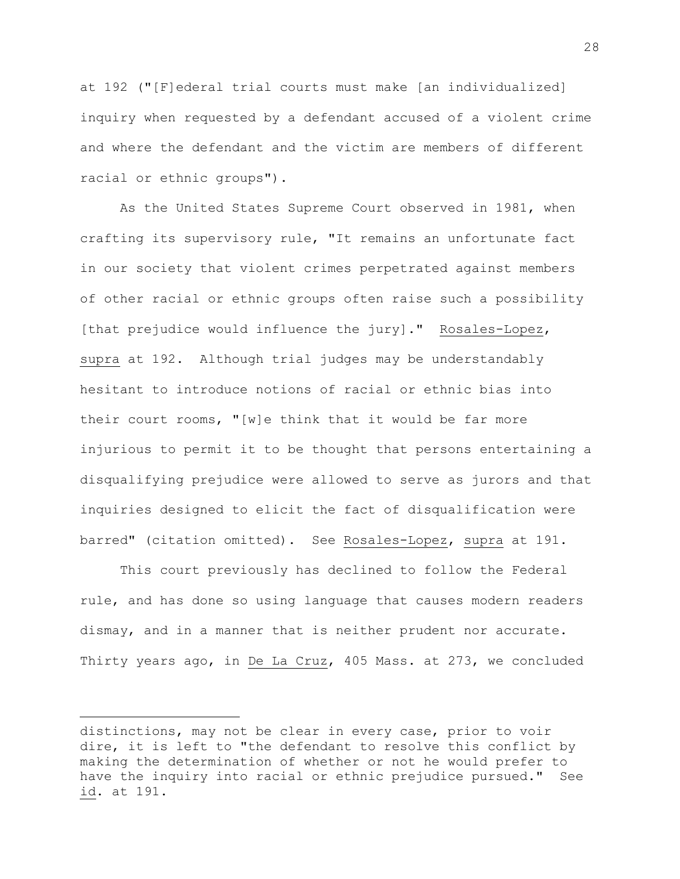at 192 ("[F]ederal trial courts must make [an individualized] inquiry when requested by a defendant accused of a violent crime and where the defendant and the victim are members of different racial or ethnic groups").

As the United States Supreme Court observed in 1981, when crafting its supervisory rule, "It remains an unfortunate fact in our society that violent crimes perpetrated against members of other racial or ethnic groups often raise such a possibility [that prejudice would influence the jury]." Rosales-Lopez, supra at 192. Although trial judges may be understandably hesitant to introduce notions of racial or ethnic bias into their court rooms, "[w]e think that it would be far more injurious to permit it to be thought that persons entertaining a disqualifying prejudice were allowed to serve as jurors and that inquiries designed to elicit the fact of disqualification were barred" (citation omitted). See Rosales-Lopez, supra at 191.

This court previously has declined to follow the Federal rule, and has done so using language that causes modern readers dismay, and in a manner that is neither prudent nor accurate. Thirty years ago, in De La Cruz, 405 Mass. at 273, we concluded

distinctions, may not be clear in every case, prior to voir dire, it is left to "the defendant to resolve this conflict by making the determination of whether or not he would prefer to have the inquiry into racial or ethnic prejudice pursued." See id. at 191.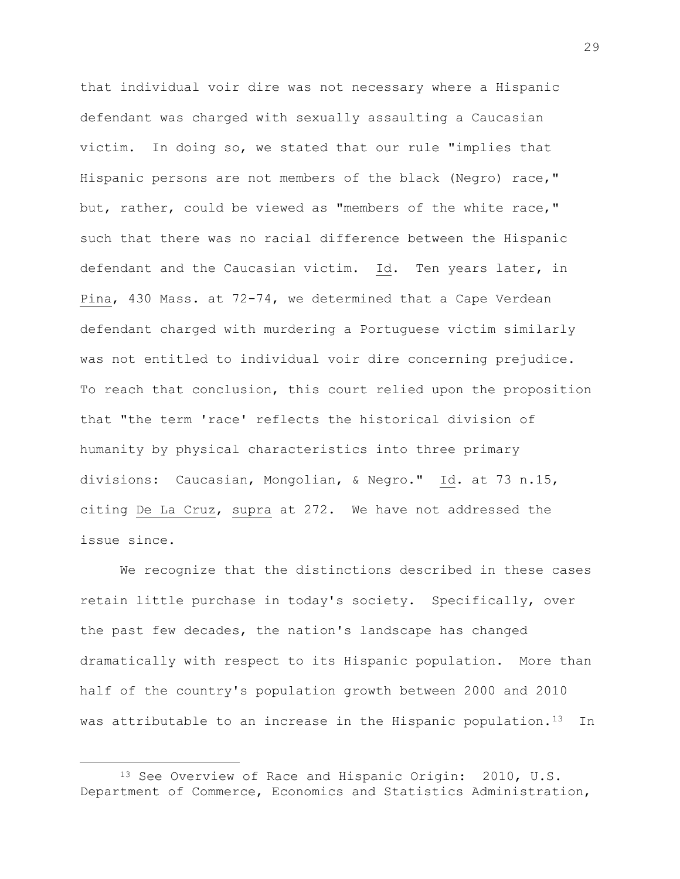that individual voir dire was not necessary where a Hispanic defendant was charged with sexually assaulting a Caucasian victim. In doing so, we stated that our rule "implies that Hispanic persons are not members of the black (Negro) race," but, rather, could be viewed as "members of the white race," such that there was no racial difference between the Hispanic defendant and the Caucasian victim. Id. Ten years later, in Pina, 430 Mass. at 72-74, we determined that a Cape Verdean defendant charged with murdering a Portuguese victim similarly was not entitled to individual voir dire concerning prejudice. To reach that conclusion, this court relied upon the proposition that "the term 'race' reflects the historical division of humanity by physical characteristics into three primary divisions: Caucasian, Mongolian, & Negro." Id. at 73 n.15, citing De La Cruz, supra at 272. We have not addressed the issue since.

We recognize that the distinctions described in these cases retain little purchase in today's society. Specifically, over the past few decades, the nation's landscape has changed dramatically with respect to its Hispanic population. More than half of the country's population growth between 2000 and 2010 was attributable to an increase in the Hispanic population.<sup>13</sup> In

<sup>13</sup> See Overview of Race and Hispanic Origin: 2010, U.S. Department of Commerce, Economics and Statistics Administration,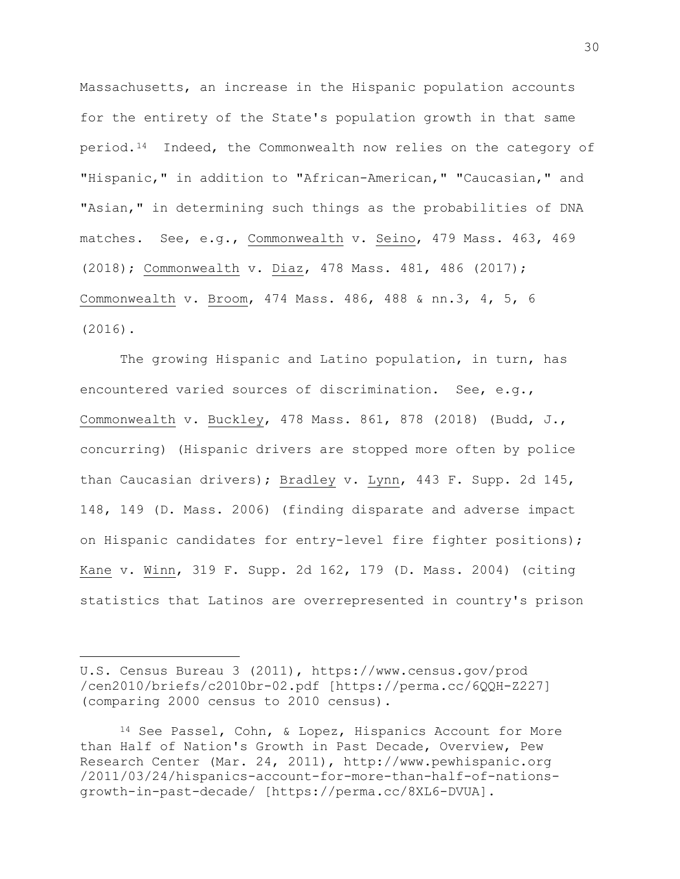Massachusetts, an increase in the Hispanic population accounts for the entirety of the State's population growth in that same period.<sup>14</sup> Indeed, the Commonwealth now relies on the category of "Hispanic," in addition to "African-American," "Caucasian," and "Asian," in determining such things as the probabilities of DNA matches. See, e.g., Commonwealth v. Seino, 479 Mass. 463, 469 (2018); Commonwealth v. Diaz, 478 Mass. 481, 486 (2017); Commonwealth v. Broom, 474 Mass. 486, 488 & nn.3, 4, 5, 6 (2016).

The growing Hispanic and Latino population, in turn, has encountered varied sources of discrimination. See, e.g., Commonwealth v. Buckley, 478 Mass. 861, 878 (2018) (Budd, J., concurring) (Hispanic drivers are stopped more often by police than Caucasian drivers); Bradley v. Lynn, 443 F. Supp. 2d 145, 148, 149 (D. Mass. 2006) (finding disparate and adverse impact on Hispanic candidates for entry-level fire fighter positions); Kane v. Winn, 319 F. Supp. 2d 162, 179 (D. Mass. 2004) (citing statistics that Latinos are overrepresented in country's prison

U.S. Census Bureau 3 (2011), https://www.census.gov/prod /cen2010/briefs/c2010br-02.pdf [https://perma.cc/6QQH-Z227] (comparing 2000 census to 2010 census).

<sup>14</sup> See Passel, Cohn, & Lopez, Hispanics Account for More than Half of Nation's Growth in Past Decade, Overview, Pew Research Center (Mar. 24, 2011), http://www.pewhispanic.org /2011/03/24/hispanics-account-for-more-than-half-of-nationsgrowth-in-past-decade/ [https://perma.cc/8XL6-DVUA].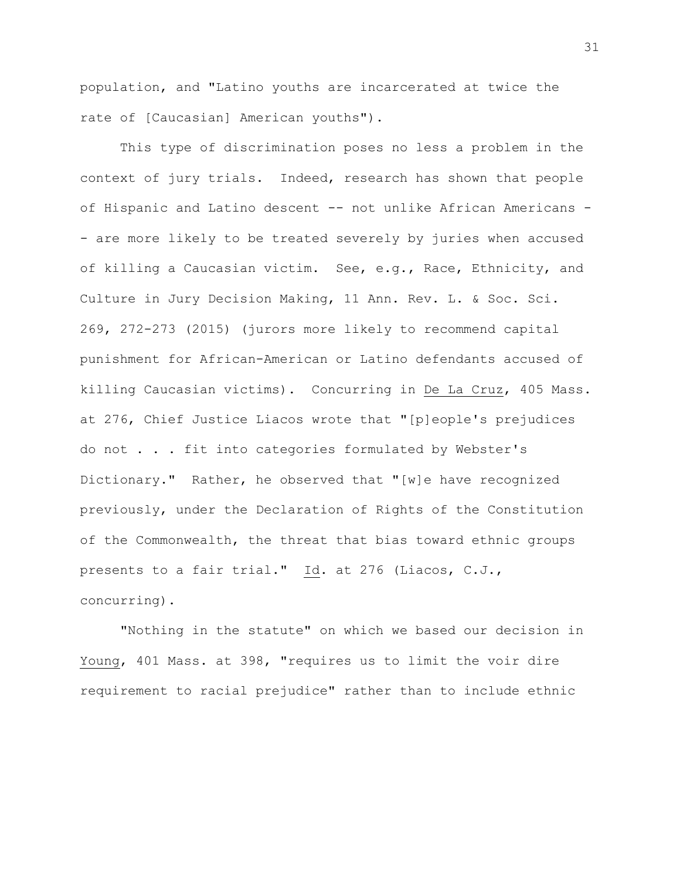population, and "Latino youths are incarcerated at twice the rate of [Caucasian] American youths").

This type of discrimination poses no less a problem in the context of jury trials. Indeed, research has shown that people of Hispanic and Latino descent -- not unlike African Americans - - are more likely to be treated severely by juries when accused of killing a Caucasian victim. See, e.g., Race, Ethnicity, and Culture in Jury Decision Making, 11 Ann. Rev. L. & Soc. Sci. 269, 272-273 (2015) (jurors more likely to recommend capital punishment for African-American or Latino defendants accused of killing Caucasian victims). Concurring in De La Cruz, 405 Mass. at 276, Chief Justice Liacos wrote that "[p]eople's prejudices do not . . . fit into categories formulated by Webster's Dictionary." Rather, he observed that "[w]e have recognized previously, under the Declaration of Rights of the Constitution of the Commonwealth, the threat that bias toward ethnic groups presents to a fair trial." Id. at 276 (Liacos, C.J., concurring).

"Nothing in the statute" on which we based our decision in Young, 401 Mass. at 398, "requires us to limit the voir dire requirement to racial prejudice" rather than to include ethnic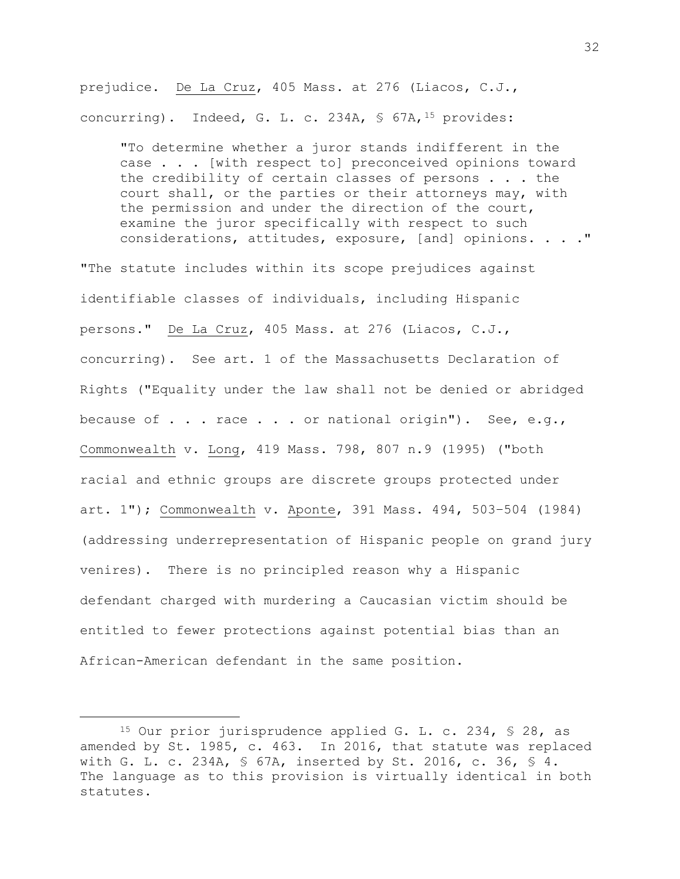prejudice. De La Cruz, 405 Mass. at 276 (Liacos, C.J., concurring). Indeed, G. L. c. 234A, § 67A, <sup>15</sup> provides:

"To determine whether a juror stands indifferent in the case . . . [with respect to] preconceived opinions toward the credibility of certain classes of persons . . . the court shall, or the parties or their attorneys may, with the permission and under the direction of the court, examine the juror specifically with respect to such considerations, attitudes, exposure, [and] opinions. . . ."

"The statute includes within its scope prejudices against identifiable classes of individuals, including Hispanic persons." De La Cruz, 405 Mass. at 276 (Liacos, C.J., concurring). See art. 1 of the Massachusetts Declaration of Rights ("Equality under the law shall not be denied or abridged because of . . . race . . . or national origin"). See, e.g., Commonwealth v. Long, 419 Mass. 798, 807 n.9 (1995) ("both racial and ethnic groups are discrete groups protected under art. 1"); Commonwealth v. Aponte, 391 Mass. 494, 503–504 (1984) (addressing underrepresentation of Hispanic people on grand jury venires). There is no principled reason why a Hispanic defendant charged with murdering a Caucasian victim should be entitled to fewer protections against potential bias than an African-American defendant in the same position.

<sup>15</sup> Our prior jurisprudence applied G. L. c. 234, § 28, as amended by St. 1985, c. 463. In 2016, that statute was replaced with G. L. c. 234A, § 67A, inserted by St. 2016, c. 36, § 4. The language as to this provision is virtually identical in both statutes.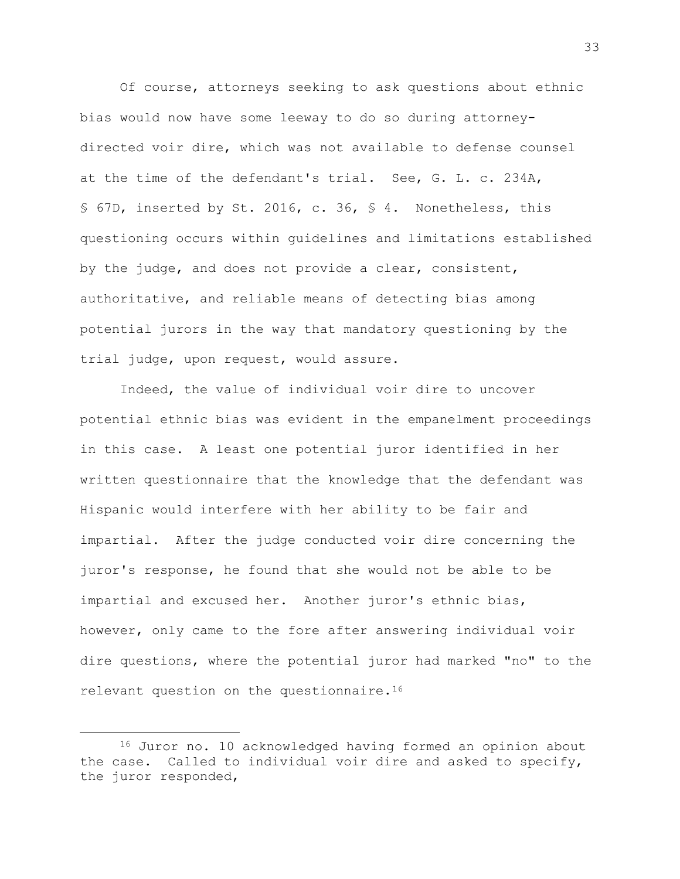Of course, attorneys seeking to ask questions about ethnic bias would now have some leeway to do so during attorneydirected voir dire, which was not available to defense counsel at the time of the defendant's trial. See, G. L. c. 234A, § 67D, inserted by St. 2016, c. 36, § 4. Nonetheless, this questioning occurs within guidelines and limitations established by the judge, and does not provide a clear, consistent, authoritative, and reliable means of detecting bias among potential jurors in the way that mandatory questioning by the trial judge, upon request, would assure.

Indeed, the value of individual voir dire to uncover potential ethnic bias was evident in the empanelment proceedings in this case. A least one potential juror identified in her written questionnaire that the knowledge that the defendant was Hispanic would interfere with her ability to be fair and impartial. After the judge conducted voir dire concerning the juror's response, he found that she would not be able to be impartial and excused her. Another juror's ethnic bias, however, only came to the fore after answering individual voir dire questions, where the potential juror had marked "no" to the relevant question on the questionnaire.<sup>16</sup>

<sup>16</sup> Juror no. 10 acknowledged having formed an opinion about the case. Called to individual voir dire and asked to specify, the juror responded,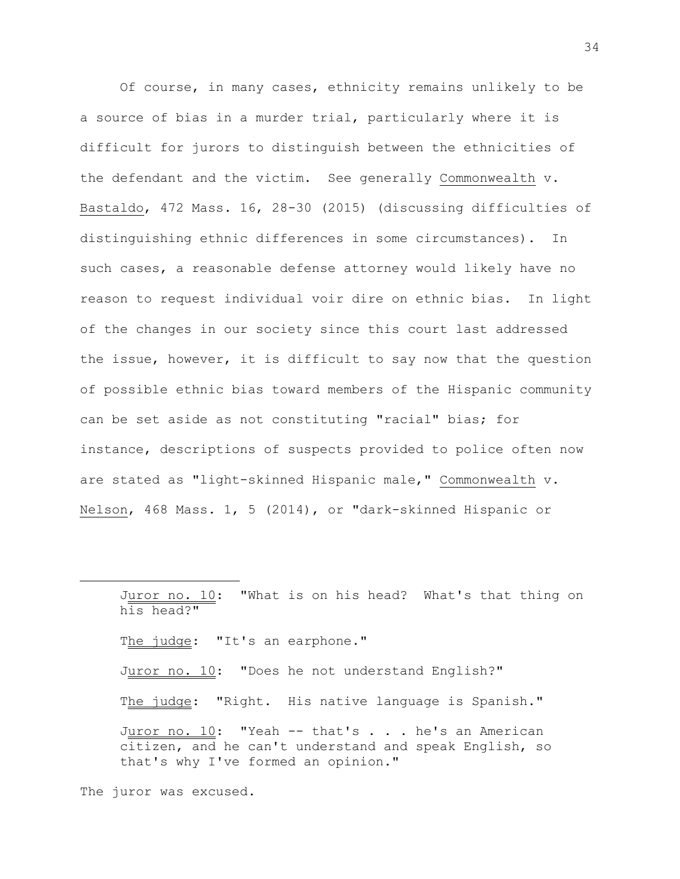Of course, in many cases, ethnicity remains unlikely to be a source of bias in a murder trial, particularly where it is difficult for jurors to distinguish between the ethnicities of the defendant and the victim. See generally Commonwealth v. Bastaldo, 472 Mass. 16, 28-30 (2015) (discussing difficulties of distinguishing ethnic differences in some circumstances). In such cases, a reasonable defense attorney would likely have no reason to request individual voir dire on ethnic bias. In light of the changes in our society since this court last addressed the issue, however, it is difficult to say now that the question of possible ethnic bias toward members of the Hispanic community can be set aside as not constituting "racial" bias; for instance, descriptions of suspects provided to police often now are stated as "light-skinned Hispanic male," Commonwealth v. Nelson, 468 Mass. 1, 5 (2014), or "dark-skinned Hispanic or

Juror no. 10: "What is on his head? What's that thing on his head?" The judge: "It's an earphone." Juror no. 10: "Does he not understand English?" The judge: "Right. His native language is Spanish." Juror no.  $10:$  "Yeah -- that's . . . he's an American citizen, and he can't understand and speak English, so that's why I've formed an opinion."

The juror was excused.

L,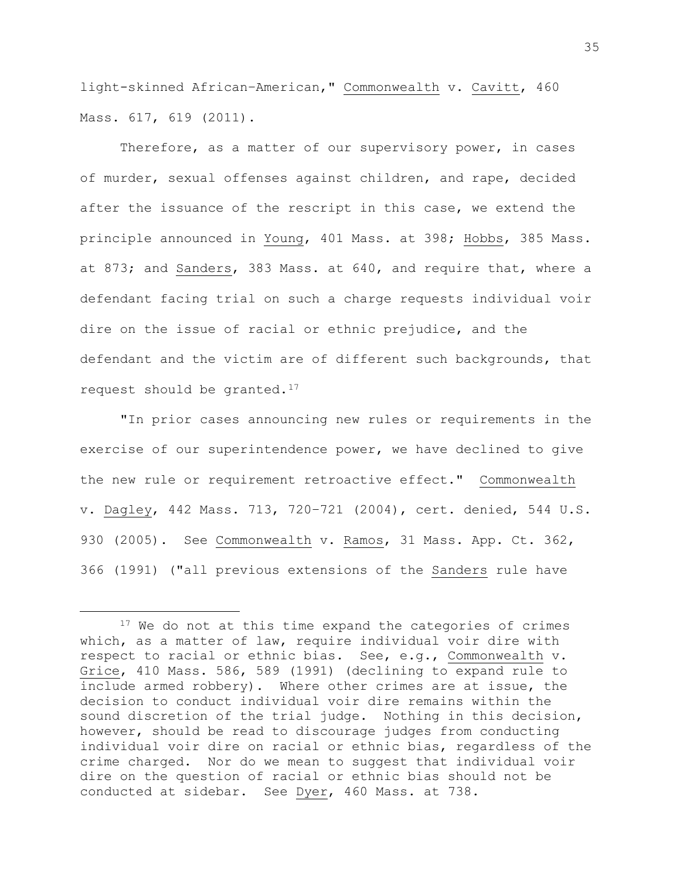light-skinned African–American," Commonwealth v. Cavitt, 460 Mass. 617, 619 (2011).

Therefore, as a matter of our supervisory power, in cases of murder, sexual offenses against children, and rape, decided after the issuance of the rescript in this case, we extend the principle announced in Young, 401 Mass. at 398; Hobbs, 385 Mass. at 873; and Sanders, 383 Mass. at 640, and require that, where a defendant facing trial on such a charge requests individual voir dire on the issue of racial or ethnic prejudice, and the defendant and the victim are of different such backgrounds, that request should be granted.<sup>17</sup>

"In prior cases announcing new rules or requirements in the exercise of our superintendence power, we have declined to give the new rule or requirement retroactive effect." Commonwealth v. Dagley, 442 Mass. 713, 720–721 (2004), cert. denied, 544 U.S. 930 (2005). See Commonwealth v. Ramos, 31 Mass. App. Ct. 362, 366 (1991) ("all previous extensions of the Sanders rule have

<sup>&</sup>lt;sup>17</sup> We do not at this time expand the categories of crimes which, as a matter of law, require individual voir dire with respect to racial or ethnic bias. See, e.g., Commonwealth v. Grice, 410 Mass. 586, 589 (1991) (declining to expand rule to include armed robbery). Where other crimes are at issue, the decision to conduct individual voir dire remains within the sound discretion of the trial judge. Nothing in this decision, however, should be read to discourage judges from conducting individual voir dire on racial or ethnic bias, regardless of the crime charged. Nor do we mean to suggest that individual voir dire on the question of racial or ethnic bias should not be conducted at sidebar. See Dyer, 460 Mass. at 738.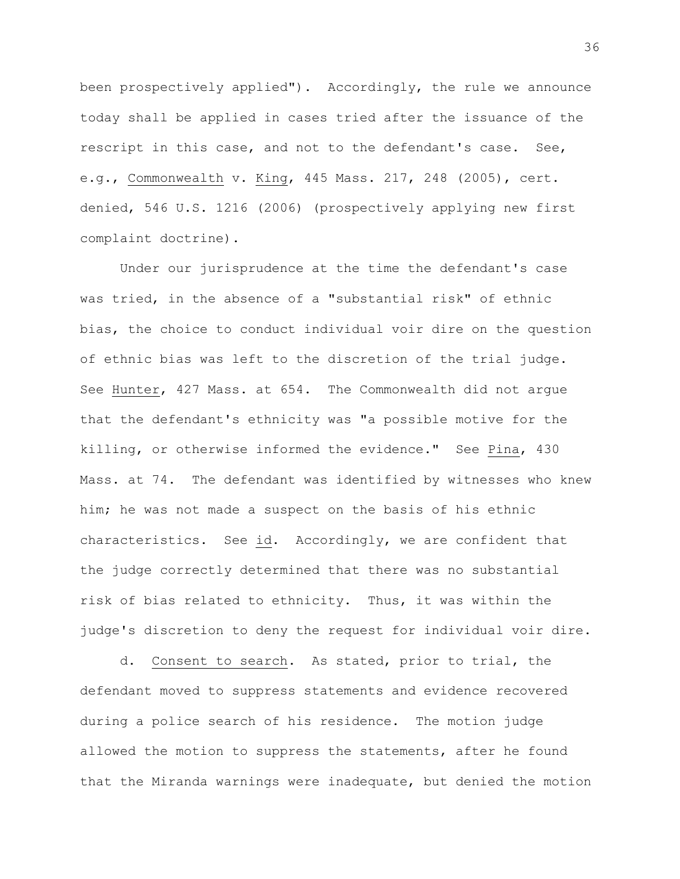been prospectively applied"). Accordingly, the rule we announce today shall be applied in cases tried after the issuance of the rescript in this case, and not to the defendant's case. See, e.g., Commonwealth v. King, 445 Mass. 217, 248 (2005), cert. denied, 546 U.S. 1216 (2006) (prospectively applying new first complaint doctrine).

Under our jurisprudence at the time the defendant's case was tried, in the absence of a "substantial risk" of ethnic bias, the choice to conduct individual voir dire on the question of ethnic bias was left to the discretion of the trial judge. See Hunter, 427 Mass. at 654. The Commonwealth did not argue that the defendant's ethnicity was "a possible motive for the killing, or otherwise informed the evidence." See Pina, 430 Mass. at 74. The defendant was identified by witnesses who knew him; he was not made a suspect on the basis of his ethnic characteristics. See id. Accordingly, we are confident that the judge correctly determined that there was no substantial risk of bias related to ethnicity. Thus, it was within the judge's discretion to deny the request for individual voir dire.

d. Consent to search. As stated, prior to trial, the defendant moved to suppress statements and evidence recovered during a police search of his residence. The motion judge allowed the motion to suppress the statements, after he found that the Miranda warnings were inadequate, but denied the motion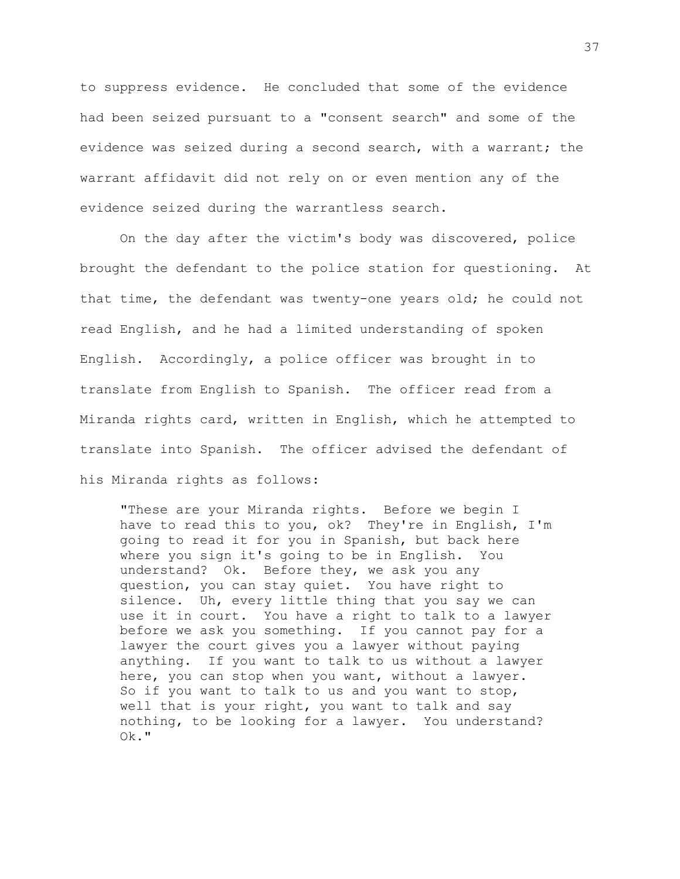to suppress evidence. He concluded that some of the evidence had been seized pursuant to a "consent search" and some of the evidence was seized during a second search, with a warrant; the warrant affidavit did not rely on or even mention any of the evidence seized during the warrantless search.

On the day after the victim's body was discovered, police brought the defendant to the police station for questioning. At that time, the defendant was twenty-one years old; he could not read English, and he had a limited understanding of spoken English. Accordingly, a police officer was brought in to translate from English to Spanish. The officer read from a Miranda rights card, written in English, which he attempted to translate into Spanish. The officer advised the defendant of his Miranda rights as follows:

"These are your Miranda rights. Before we begin I have to read this to you, ok? They're in English, I'm going to read it for you in Spanish, but back here where you sign it's going to be in English. You understand? Ok. Before they, we ask you any question, you can stay quiet. You have right to silence. Uh, every little thing that you say we can use it in court. You have a right to talk to a lawyer before we ask you something. If you cannot pay for a lawyer the court gives you a lawyer without paying anything. If you want to talk to us without a lawyer here, you can stop when you want, without a lawyer. So if you want to talk to us and you want to stop, well that is your right, you want to talk and say nothing, to be looking for a lawyer. You understand? Ok."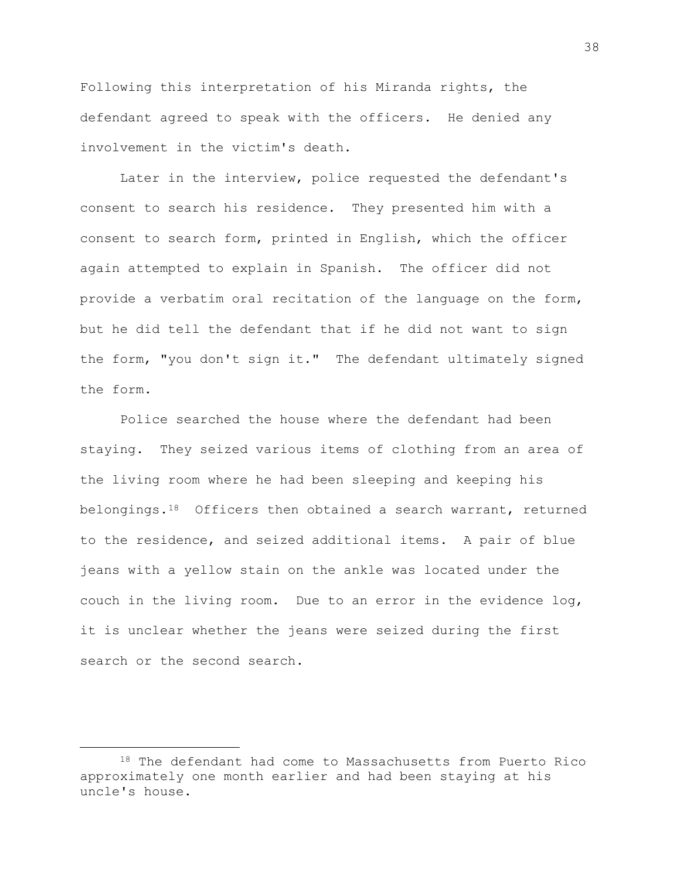Following this interpretation of his Miranda rights, the defendant agreed to speak with the officers. He denied any involvement in the victim's death.

Later in the interview, police requested the defendant's consent to search his residence. They presented him with a consent to search form, printed in English, which the officer again attempted to explain in Spanish. The officer did not provide a verbatim oral recitation of the language on the form, but he did tell the defendant that if he did not want to sign the form, "you don't sign it." The defendant ultimately signed the form.

Police searched the house where the defendant had been staying. They seized various items of clothing from an area of the living room where he had been sleeping and keeping his belongings.<sup>18</sup> Officers then obtained a search warrant, returned to the residence, and seized additional items. A pair of blue jeans with a yellow stain on the ankle was located under the couch in the living room. Due to an error in the evidence log, it is unclear whether the jeans were seized during the first search or the second search.

<sup>18</sup> The defendant had come to Massachusetts from Puerto Rico approximately one month earlier and had been staying at his uncle's house.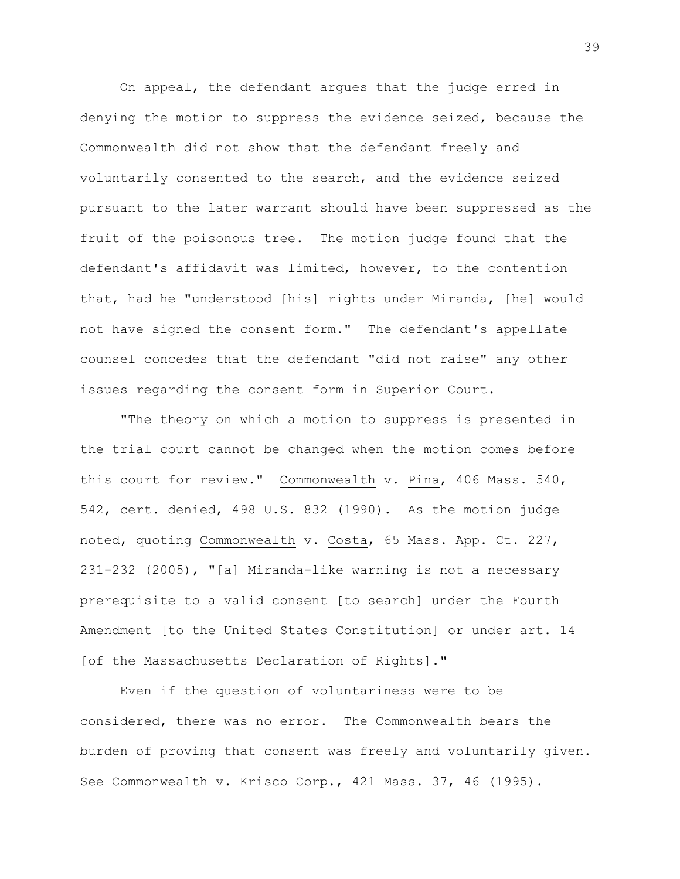On appeal, the defendant argues that the judge erred in denying the motion to suppress the evidence seized, because the Commonwealth did not show that the defendant freely and voluntarily consented to the search, and the evidence seized pursuant to the later warrant should have been suppressed as the fruit of the poisonous tree. The motion judge found that the defendant's affidavit was limited, however, to the contention that, had he "understood [his] rights under Miranda, [he] would not have signed the consent form." The defendant's appellate counsel concedes that the defendant "did not raise" any other issues regarding the consent form in Superior Court.

"The theory on which a motion to suppress is presented in the trial court cannot be changed when the motion comes before this court for review." Commonwealth v. Pina, 406 Mass. 540, 542, cert. denied, 498 U.S. 832 (1990). As the motion judge noted, quoting Commonwealth v. Costa, 65 Mass. App. Ct. 227, 231-232 (2005), "[a] Miranda-like warning is not a necessary prerequisite to a valid consent [to search] under the Fourth Amendment [to the United States Constitution] or under art. 14 [of the Massachusetts Declaration of Rights]."

Even if the question of voluntariness were to be considered, there was no error. The Commonwealth bears the burden of proving that consent was freely and voluntarily given. See Commonwealth v. Krisco Corp., 421 Mass. 37, 46 (1995).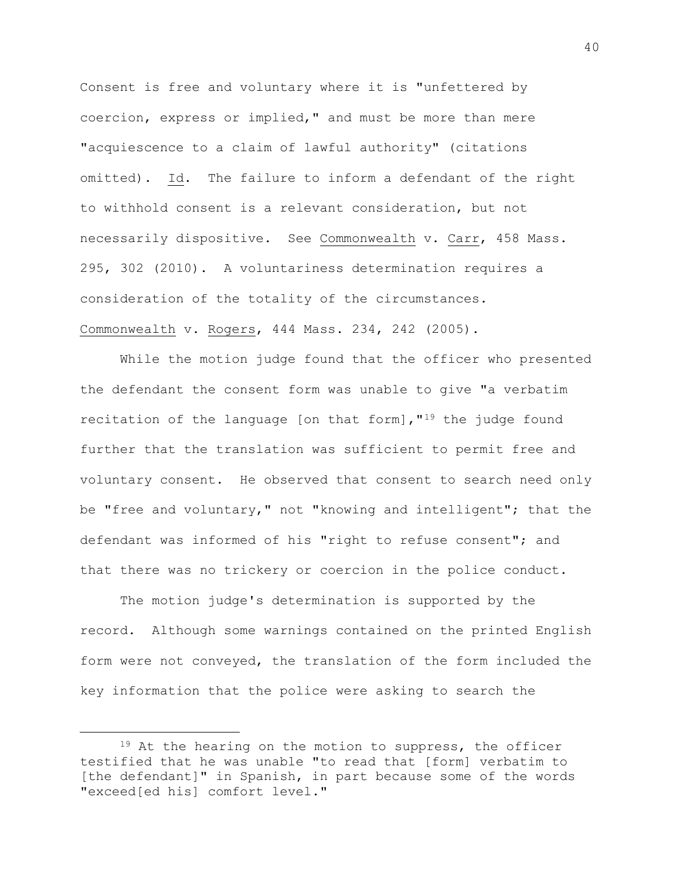Consent is free and voluntary where it is "unfettered by coercion, express or implied," and must be more than mere "acquiescence to a claim of lawful authority" (citations omitted). Id. The failure to inform a defendant of the right to withhold consent is a relevant consideration, but not necessarily dispositive. See Commonwealth v. Carr, 458 Mass. 295, 302 (2010). A voluntariness determination requires a consideration of the totality of the circumstances. Commonwealth v. Rogers, 444 Mass. 234, 242 (2005).

While the motion judge found that the officer who presented the defendant the consent form was unable to give "a verbatim recitation of the language [on that form], "<sup>19</sup> the judge found further that the translation was sufficient to permit free and voluntary consent. He observed that consent to search need only be "free and voluntary," not "knowing and intelligent"; that the defendant was informed of his "right to refuse consent"; and that there was no trickery or coercion in the police conduct.

The motion judge's determination is supported by the record. Although some warnings contained on the printed English form were not conveyed, the translation of the form included the key information that the police were asking to search the

 $19$  At the hearing on the motion to suppress, the officer testified that he was unable "to read that [form] verbatim to [the defendant]" in Spanish, in part because some of the words "exceed[ed his] comfort level."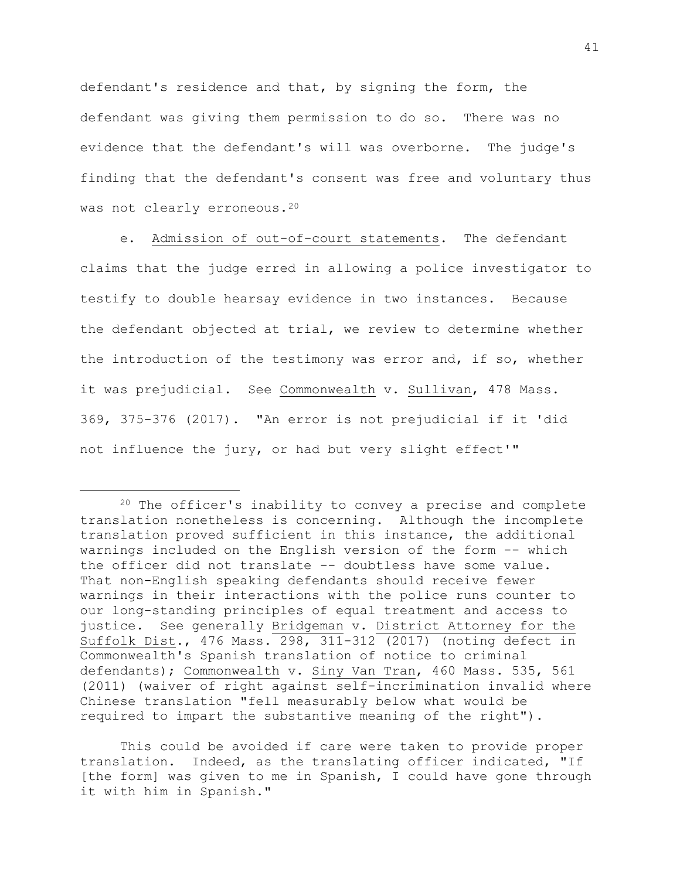defendant's residence and that, by signing the form, the defendant was giving them permission to do so. There was no evidence that the defendant's will was overborne. The judge's finding that the defendant's consent was free and voluntary thus was not clearly erroneous.<sup>20</sup>

e. Admission of out-of-court statements. The defendant claims that the judge erred in allowing a police investigator to testify to double hearsay evidence in two instances. Because the defendant objected at trial, we review to determine whether the introduction of the testimony was error and, if so, whether it was prejudicial. See Commonwealth v. Sullivan, 478 Mass. 369, 375-376 (2017). "An error is not prejudicial if it 'did not influence the jury, or had but very slight effect'"

a<br>B

This could be avoided if care were taken to provide proper translation. Indeed, as the translating officer indicated, "If [the form] was given to me in Spanish, I could have gone through it with him in Spanish."

<sup>20</sup> The officer's inability to convey a precise and complete translation nonetheless is concerning. Although the incomplete translation proved sufficient in this instance, the additional warnings included on the English version of the form -- which the officer did not translate -- doubtless have some value. That non-English speaking defendants should receive fewer warnings in their interactions with the police runs counter to our long-standing principles of equal treatment and access to justice. See generally Bridgeman v. District Attorney for the Suffolk Dist., 476 Mass. 298, 311-312 (2017) (noting defect in Commonwealth's Spanish translation of notice to criminal defendants); Commonwealth v. Siny Van Tran, 460 Mass. 535, 561 (2011) (waiver of right against self-incrimination invalid where Chinese translation "fell measurably below what would be required to impart the substantive meaning of the right").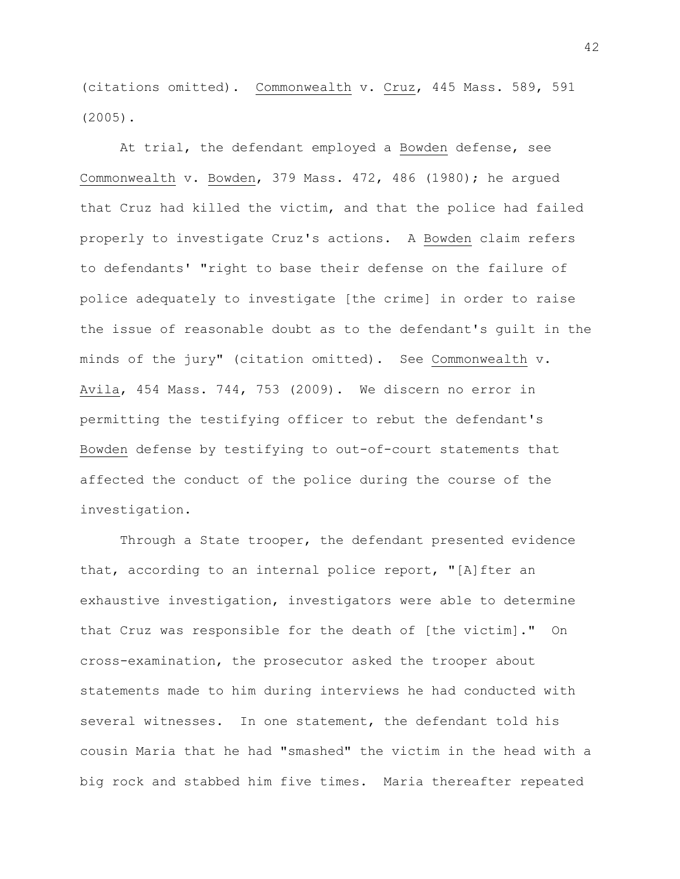(citations omitted). Commonwealth v. Cruz, 445 Mass. 589, 591 (2005).

At trial, the defendant employed a Bowden defense, see Commonwealth v. Bowden, 379 Mass. 472, 486 (1980); he argued that Cruz had killed the victim, and that the police had failed properly to investigate Cruz's actions. A Bowden claim refers to defendants' "right to base their defense on the failure of police adequately to investigate [the crime] in order to raise the issue of reasonable doubt as to the defendant's guilt in the minds of the jury" (citation omitted). See Commonwealth v. Avila, 454 Mass. 744, 753 (2009). We discern no error in permitting the testifying officer to rebut the defendant's Bowden defense by testifying to out-of-court statements that affected the conduct of the police during the course of the investigation.

Through a State trooper, the defendant presented evidence that, according to an internal police report, "[A]fter an exhaustive investigation, investigators were able to determine that Cruz was responsible for the death of [the victim]." On cross-examination, the prosecutor asked the trooper about statements made to him during interviews he had conducted with several witnesses. In one statement, the defendant told his cousin Maria that he had "smashed" the victim in the head with a big rock and stabbed him five times. Maria thereafter repeated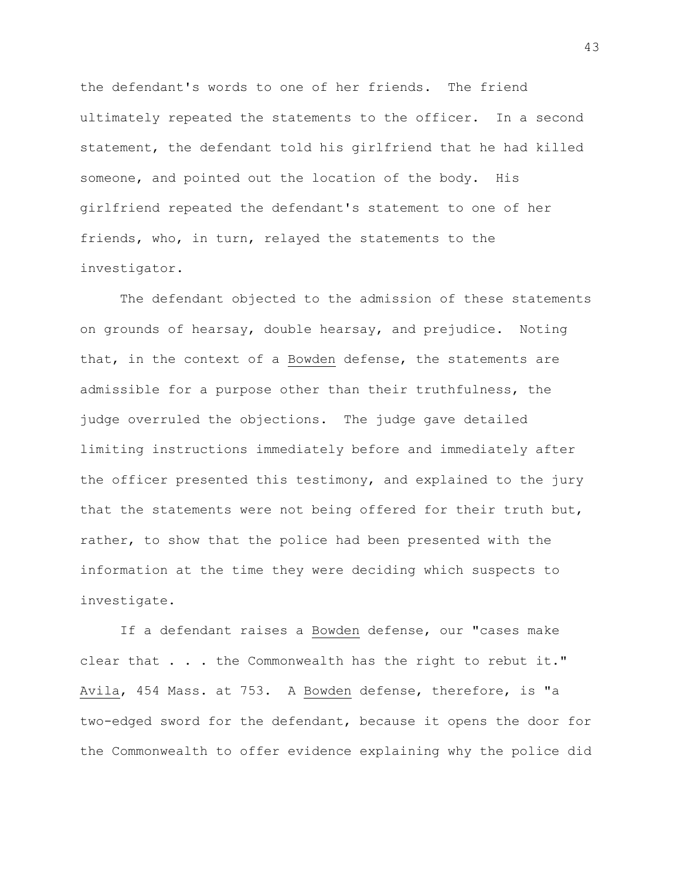the defendant's words to one of her friends. The friend ultimately repeated the statements to the officer. In a second statement, the defendant told his girlfriend that he had killed someone, and pointed out the location of the body. His girlfriend repeated the defendant's statement to one of her friends, who, in turn, relayed the statements to the investigator.

The defendant objected to the admission of these statements on grounds of hearsay, double hearsay, and prejudice. Noting that, in the context of a Bowden defense, the statements are admissible for a purpose other than their truthfulness, the judge overruled the objections. The judge gave detailed limiting instructions immediately before and immediately after the officer presented this testimony, and explained to the jury that the statements were not being offered for their truth but, rather, to show that the police had been presented with the information at the time they were deciding which suspects to investigate.

If a defendant raises a Bowden defense, our "cases make clear that . . . the Commonwealth has the right to rebut it." Avila, 454 Mass. at 753. A Bowden defense, therefore, is "a two-edged sword for the defendant, because it opens the door for the Commonwealth to offer evidence explaining why the police did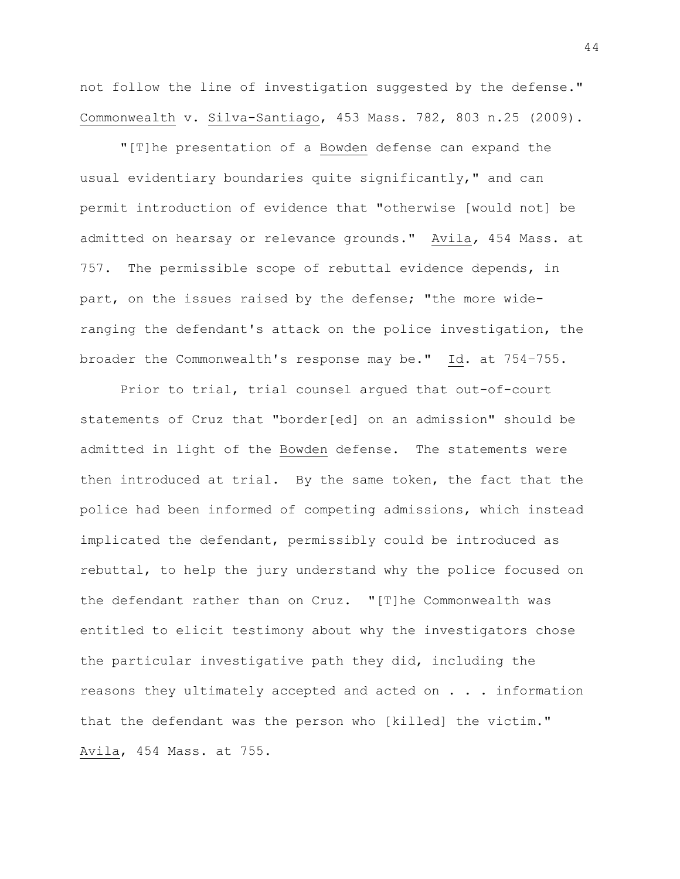not follow the line of investigation suggested by the defense." Commonwealth v. Silva-Santiago, 453 Mass. 782, 803 n.25 (2009).

"[T]he presentation of a Bowden defense can expand the usual evidentiary boundaries quite significantly," and can permit introduction of evidence that "otherwise [would not] be admitted on hearsay or relevance grounds." Avila*,* 454 Mass. at 757. The permissible scope of rebuttal evidence depends, in part, on the issues raised by the defense; "the more wideranging the defendant's attack on the police investigation, the broader the Commonwealth's response may be." Id. at 754–755.

Prior to trial, trial counsel argued that out-of-court statements of Cruz that "border[ed] on an admission" should be admitted in light of the Bowden defense. The statements were then introduced at trial. By the same token, the fact that the police had been informed of competing admissions, which instead implicated the defendant, permissibly could be introduced as rebuttal, to help the jury understand why the police focused on the defendant rather than on Cruz. "[T]he Commonwealth was entitled to elicit testimony about why the investigators chose the particular investigative path they did, including the reasons they ultimately accepted and acted on . . . information that the defendant was the person who [killed] the victim." Avila, 454 Mass. at 755.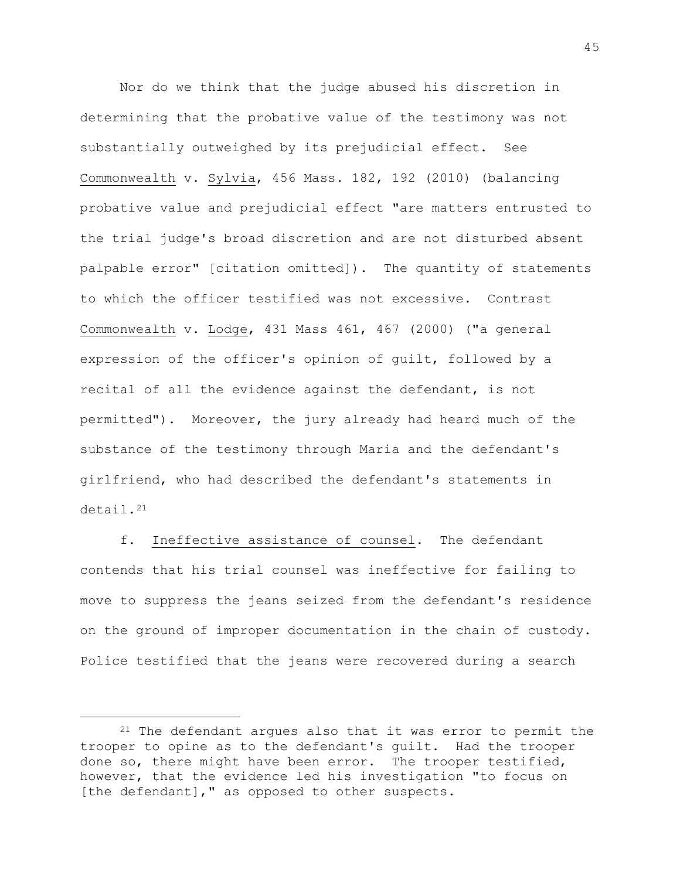Nor do we think that the judge abused his discretion in determining that the probative value of the testimony was not substantially outweighed by its prejudicial effect. See Commonwealth v. Sylvia, 456 Mass. 182, 192 (2010) (balancing probative value and prejudicial effect "are matters entrusted to the trial judge's broad discretion and are not disturbed absent palpable error" [citation omitted]). The quantity of statements to which the officer testified was not excessive. Contrast Commonwealth v. Lodge, 431 Mass 461, 467 (2000) ("a general expression of the officer's opinion of guilt, followed by a recital of all the evidence against the defendant, is not permitted"). Moreover, the jury already had heard much of the substance of the testimony through Maria and the defendant's girlfriend, who had described the defendant's statements in detail.<sup>21</sup>

f. Ineffective assistance of counsel. The defendant contends that his trial counsel was ineffective for failing to move to suppress the jeans seized from the defendant's residence on the ground of improper documentation in the chain of custody. Police testified that the jeans were recovered during a search

 $21$  The defendant argues also that it was error to permit the trooper to opine as to the defendant's guilt. Had the trooper done so, there might have been error. The trooper testified, however, that the evidence led his investigation "to focus on [the defendant], " as opposed to other suspects.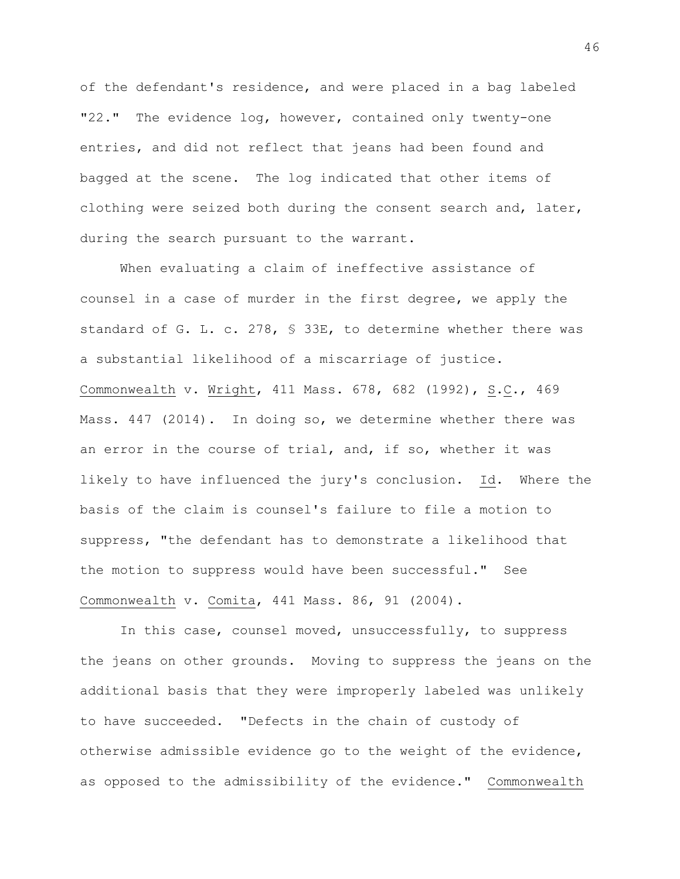of the defendant's residence, and were placed in a bag labeled "22." The evidence log, however, contained only twenty-one entries, and did not reflect that jeans had been found and bagged at the scene. The log indicated that other items of clothing were seized both during the consent search and, later, during the search pursuant to the warrant.

When evaluating a claim of ineffective assistance of counsel in a case of murder in the first degree, we apply the standard of G. L. c. 278, § 33E, to determine whether there was a substantial likelihood of a miscarriage of justice. Commonwealth v. Wright, 411 Mass. 678, 682 (1992), S.C., 469 Mass. 447 (2014). In doing so, we determine whether there was an error in the course of trial, and, if so, whether it was likely to have influenced the jury's conclusion. Id. Where the basis of the claim is counsel's failure to file a motion to suppress, "the defendant has to demonstrate a likelihood that the motion to suppress would have been successful." See Commonwealth v. Comita, 441 Mass. 86, 91 (2004).

In this case, counsel moved, unsuccessfully, to suppress the jeans on other grounds. Moving to suppress the jeans on the additional basis that they were improperly labeled was unlikely to have succeeded. "Defects in the chain of custody of otherwise admissible evidence go to the weight of the evidence, as opposed to the admissibility of the evidence." Commonwealth